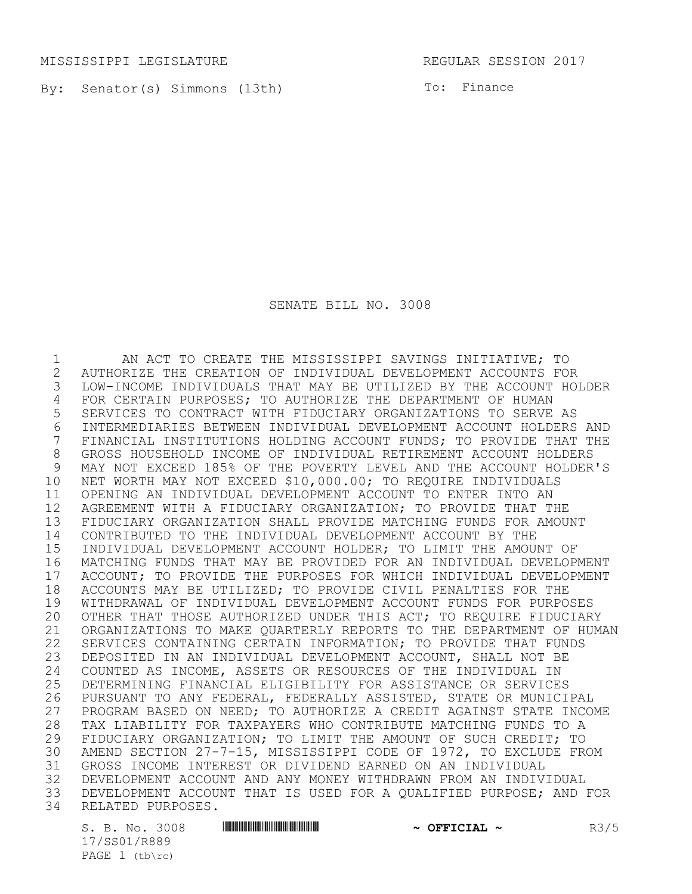MISSISSIPPI LEGISLATURE REGULAR SESSION 2017

By: Senator(s) Simmons (13th) To: Finance

SENATE BILL NO. 3008

1 AN ACT TO CREATE THE MISSISSIPPI SAVINGS INITIATIVE; TO 2 AUTHORIZE THE CREATION OF INDIVIDUAL DEVELOPMENT ACCOUNTS FOR LOW-INCOME INDIVIDUALS THAT MAY BE UTILIZED BY THE ACCOUNT HOLDER 4 FOR CERTAIN PURPOSES; TO AUTHORIZE THE DEPARTMENT OF HUMAN<br>5 SERVICES TO CONTRACT WITH FIDUCIARY ORGANIZATIONS TO SERVE 5 SERVICES TO CONTRACT WITH FIDUCIARY ORGANIZATIONS TO SERVE AS 6 INTERMEDIARIES BETWEEN INDIVIDUAL DEVELOPMENT ACCOUNT HOLDERS AND<br>7 FINANCIAL INSTITUTIONS HOLDING ACCOUNT FUNDS: TO PROVIDE THAT THE FINANCIAL INSTITUTIONS HOLDING ACCOUNT FUNDS; TO PROVIDE THAT THE 8 GROSS HOUSEHOLD INCOME OF INDIVIDUAL RETIREMENT ACCOUNT HOLDERS<br>9 MAY NOT EXCEED 185% OF THE POVERTY LEVEL AND THE ACCOUNT HOLDER 9 MAY NOT EXCEED 185% OF THE POVERTY LEVEL AND THE ACCOUNT HOLDER'S 10 NET WORTH MAY NOT EXCEED \$10,000.00; TO REQUIRE INDIVIDUALS 11 OPENING AN INDIVIDUAL DEVELOPMENT ACCOUNT TO ENTER INTO AN 12 AGREEMENT WITH A FIDUCIARY ORGANIZATION; TO PROVIDE THAT THE 13 FIDUCIARY ORGANIZATION SHALL PROVIDE MATCHING FUNDS FOR AMOUNT 14 CONTRIBUTED TO THE INDIVIDUAL DEVELOPMENT ACCOUNT BY THE 15 INDIVIDUAL DEVELOPMENT ACCOUNT HOLDER; TO LIMIT THE AMOUNT OF 16 MATCHING FUNDS THAT MAY BE PROVIDED FOR AN INDIVIDUAL DEVELOPMENT 17 ACCOUNT; TO PROVIDE THE PURPOSES FOR WHICH INDIVIDUAL DEVELOPMENT<br>18 ACCOUNTS MAY BE UTILIZED; TO PROVIDE CIVIL PENALTIES FOR THE 18 ACCOUNTS MAY BE UTILIZED; TO PROVIDE CIVIL PENALTIES FOR THE<br>19 WITHDRAWAL OF INDIVIDUAL DEVELOPMENT ACCOUNT FUNDS FOR PURPO 19 WITHDRAWAL OF INDIVIDUAL DEVELOPMENT ACCOUNT FUNDS FOR PURPOSES 20 OTHER THAT THOSE AUTHORIZED UNDER THIS ACT; TO REQUIRE FIDUCIARY 21 ORGANIZATIONS TO MAKE QUARTERLY REPORTS TO THE DEPARTMENT OF HUMAN 22 SERVICES CONTAINING CERTAIN INFORMATION; TO PROVIDE THAT FUNDS 23 DEPOSITED IN AN INDIVIDUAL DEVELOPMENT ACCOUNT, SHALL NOT BE 24 COUNTED AS INCOME, ASSETS OR RESOURCES OF THE INDIVIDUAL IN<br>25 DETERMINING FINANCIAL ELIGIBILITY FOR ASSISTANCE OR SERVICE. 25 DETERMINING FINANCIAL ELIGIBILITY FOR ASSISTANCE OR SERVICES<br>26 PURSUANT TO ANY FEDERAL, FEDERALLY ASSISTED, STATE OR MUNICI 26 PURSUANT TO ANY FEDERAL, FEDERALLY ASSISTED, STATE OR MUNICIPAL<br>27 PROGRAM BASED ON NEED: TO AUTHORIZE A CREDIT AGAINST STATE INCO 27 PROGRAM BASED ON NEED; TO AUTHORIZE A CREDIT AGAINST STATE INCOME 28 TAX LIABILITY FOR TAXPAYERS WHO CONTRIBUTE MATCHING FUNDS TO A<br>29 FIDUCIARY ORGANIZATION; TO LIMIT THE AMOUNT OF SUCH CREDIT; TO 29 FIDUCIARY ORGANIZATION; TO LIMIT THE AMOUNT OF SUCH CREDIT; TO<br>30 AMEND SECTION 27-7-15, MISSISSIPPI CODE OF 1972, TO EXCLUDE FR AMEND SECTION 27-7-15, MISSISSIPPI CODE OF 1972, TO EXCLUDE FROM 31 GROSS INCOME INTEREST OR DIVIDEND EARNED ON AN INDIVIDUAL 32 DEVELOPMENT ACCOUNT AND ANY MONEY WITHDRAWN FROM AN INDIVIDUAL<br>33 DEVELOPMENT ACCOUNT THAT IS USED FOR A OUALIFIED PURPOSE; AND DEVELOPMENT ACCOUNT THAT IS USED FOR A QUALIFIED PURPOSE; AND FOR 34 RELATED PURPOSES.

17/SS01/R889 PAGE  $1$  (tb\rc)

S. B. No. 3008 **\*\*\* ASSEMENT ASSESSMENT ASSESSMENT ASSESSMENT ASSESSMENT ASSESSMENT ASSESSMENT ASSESSMENT ASSESSMENT ASSESSMENT ASSESSMENT AND RESPONDENT ASSESSMENT AND RESPONDENT ASSESSMENT AND RESPONDENT ASSESSMENT AND R**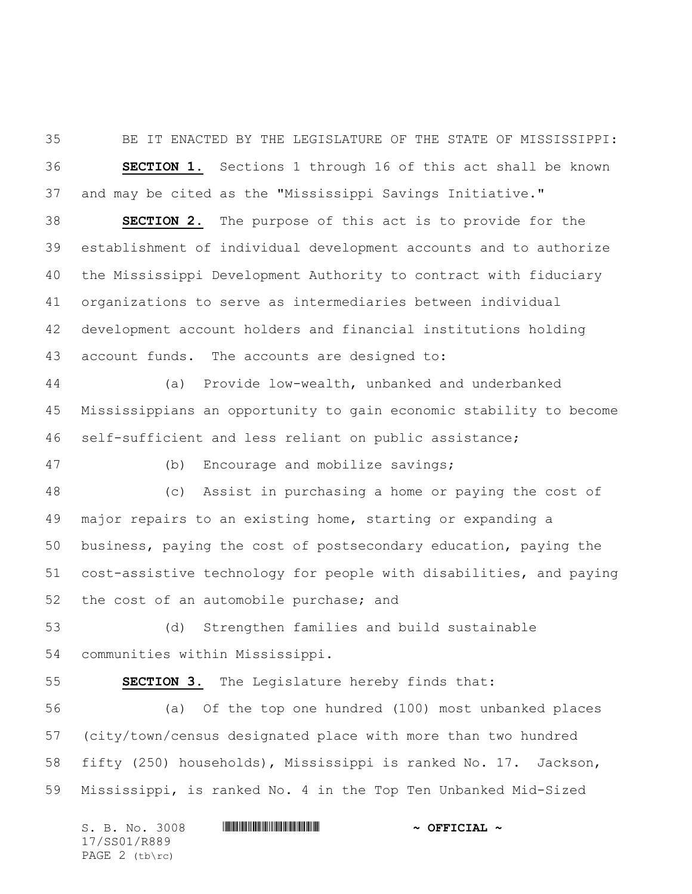BE IT ENACTED BY THE LEGISLATURE OF THE STATE OF MISSISSIPPI: **SECTION 1.** Sections 1 through 16 of this act shall be known and may be cited as the "Mississippi Savings Initiative."

 **SECTION 2.** The purpose of this act is to provide for the establishment of individual development accounts and to authorize the Mississippi Development Authority to contract with fiduciary organizations to serve as intermediaries between individual development account holders and financial institutions holding account funds. The accounts are designed to:

 (a) Provide low-wealth, unbanked and underbanked Mississippians an opportunity to gain economic stability to become self-sufficient and less reliant on public assistance;

(b) Encourage and mobilize savings;

 (c) Assist in purchasing a home or paying the cost of major repairs to an existing home, starting or expanding a business, paying the cost of postsecondary education, paying the cost-assistive technology for people with disabilities, and paying the cost of an automobile purchase; and

 (d) Strengthen families and build sustainable communities within Mississippi.

**SECTION 3.** The Legislature hereby finds that:

 (a) Of the top one hundred (100) most unbanked places (city/town/census designated place with more than two hundred fifty (250) households), Mississippi is ranked No. 17. Jackson, Mississippi, is ranked No. 4 in the Top Ten Unbanked Mid-Sized

S. B. No. 3008 \*SS01/R889\* **~ OFFICIAL ~** 17/SS01/R889 PAGE 2 (tb\rc)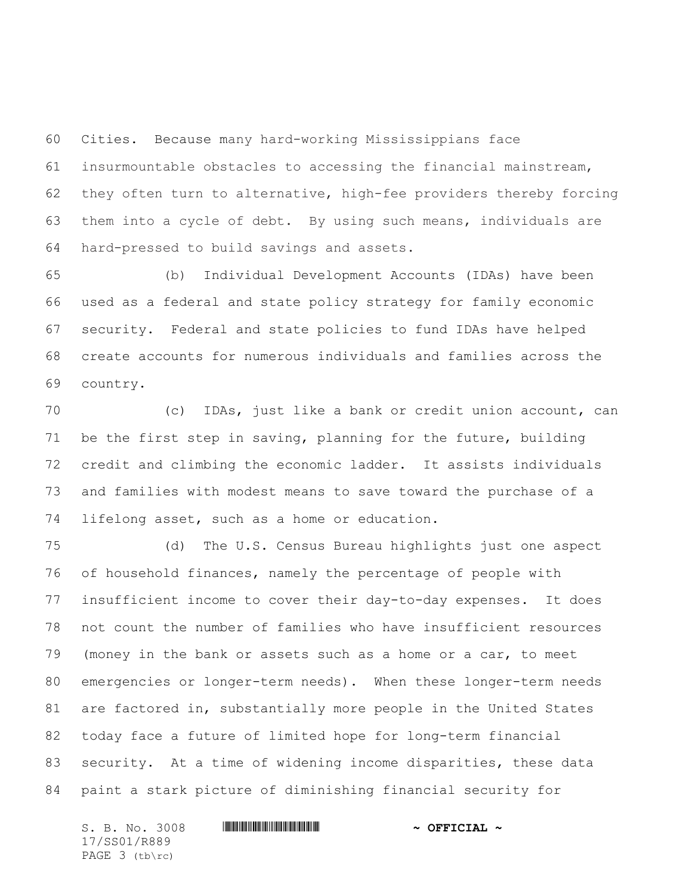Cities. Because many hard-working Mississippians face insurmountable obstacles to accessing the financial mainstream, they often turn to alternative, high-fee providers thereby forcing them into a cycle of debt. By using such means, individuals are hard-pressed to build savings and assets.

 (b) Individual Development Accounts (IDAs) have been used as a federal and state policy strategy for family economic security. Federal and state policies to fund IDAs have helped create accounts for numerous individuals and families across the country.

 (c) IDAs, just like a bank or credit union account, can be the first step in saving, planning for the future, building credit and climbing the economic ladder. It assists individuals and families with modest means to save toward the purchase of a lifelong asset, such as a home or education.

 (d) The U.S. Census Bureau highlights just one aspect of household finances, namely the percentage of people with insufficient income to cover their day-to-day expenses. It does not count the number of families who have insufficient resources (money in the bank or assets such as a home or a car, to meet emergencies or longer-term needs). When these longer-term needs are factored in, substantially more people in the United States today face a future of limited hope for long-term financial security. At a time of widening income disparities, these data paint a stark picture of diminishing financial security for

S. B. No. 3008 \*SS01/R889\* **~ OFFICIAL ~** 17/SS01/R889 PAGE 3 (tb\rc)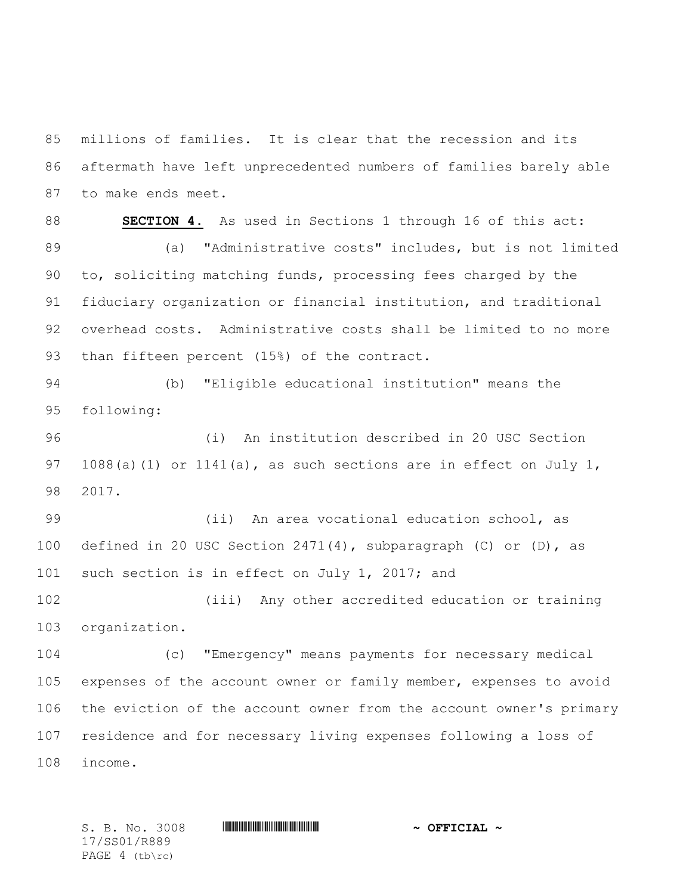millions of families. It is clear that the recession and its aftermath have left unprecedented numbers of families barely able to make ends meet.

 **SECTION 4.** As used in Sections 1 through 16 of this act: (a) "Administrative costs" includes, but is not limited to, soliciting matching funds, processing fees charged by the fiduciary organization or financial institution, and traditional overhead costs. Administrative costs shall be limited to no more 93 than fifteen percent (15%) of the contract.

 (b) "Eligible educational institution" means the following:

 (i) An institution described in 20 USC Section 97 1088(a)(1) or 1141(a), as such sections are in effect on July 1, 2017.

 (ii) An area vocational education school, as defined in 20 USC Section 2471(4), subparagraph (C) or (D), as 101 such section is in effect on July 1, 2017; and

 (iii) Any other accredited education or training organization.

 (c) "Emergency" means payments for necessary medical expenses of the account owner or family member, expenses to avoid the eviction of the account owner from the account owner's primary residence and for necessary living expenses following a loss of income.

17/SS01/R889 PAGE 4 (tb\rc)

S. B. No. 3008 \*SS01/R889\* **~ OFFICIAL ~**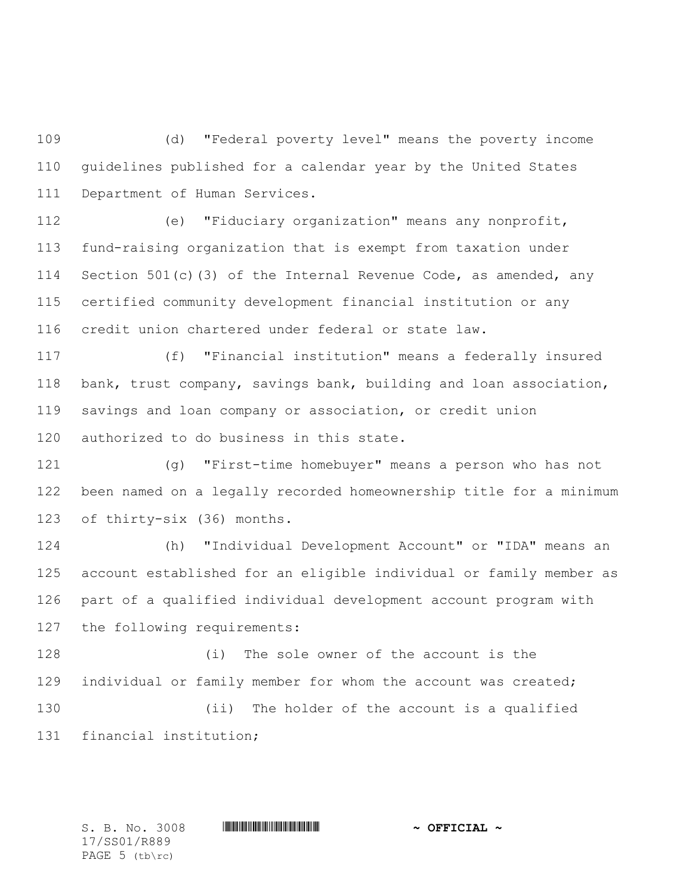(d) "Federal poverty level" means the poverty income guidelines published for a calendar year by the United States Department of Human Services.

 (e) "Fiduciary organization" means any nonprofit, fund-raising organization that is exempt from taxation under 114 Section 501(c)(3) of the Internal Revenue Code, as amended, any certified community development financial institution or any credit union chartered under federal or state law.

 (f) "Financial institution" means a federally insured bank, trust company, savings bank, building and loan association, savings and loan company or association, or credit union authorized to do business in this state.

 (g) "First-time homebuyer" means a person who has not been named on a legally recorded homeownership title for a minimum of thirty-six (36) months.

 (h) "Individual Development Account" or "IDA" means an account established for an eligible individual or family member as part of a qualified individual development account program with the following requirements:

 (i) The sole owner of the account is the individual or family member for whom the account was created; (ii) The holder of the account is a qualified financial institution;

17/SS01/R889 PAGE 5 (tb\rc)

S. B. No. 3008 **\*\*\* | ASSEMBLE ASSEMBLE ASSEMBLE ASSEMBLE ASSEMBLE ASSESSED.**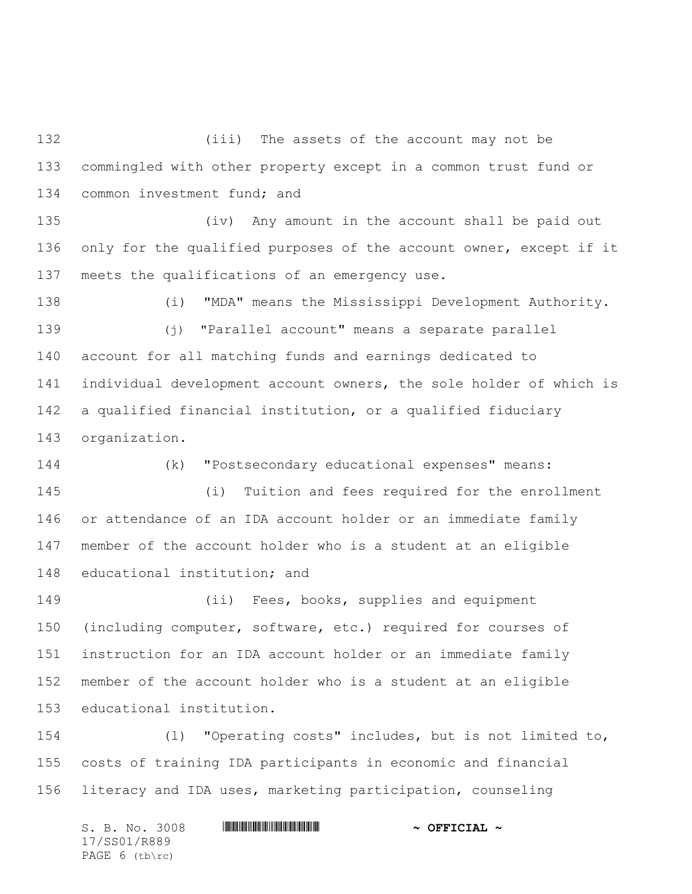(iii) The assets of the account may not be commingled with other property except in a common trust fund or 134 common investment fund; and

 (iv) Any amount in the account shall be paid out only for the qualified purposes of the account owner, except if it meets the qualifications of an emergency use.

 (i) "MDA" means the Mississippi Development Authority. (j) "Parallel account" means a separate parallel account for all matching funds and earnings dedicated to individual development account owners, the sole holder of which is a qualified financial institution, or a qualified fiduciary organization.

 (k) "Postsecondary educational expenses" means: (i) Tuition and fees required for the enrollment or attendance of an IDA account holder or an immediate family member of the account holder who is a student at an eligible educational institution; and

 (ii) Fees, books, supplies and equipment (including computer, software, etc.) required for courses of instruction for an IDA account holder or an immediate family member of the account holder who is a student at an eligible educational institution.

 (l) "Operating costs" includes, but is not limited to, costs of training IDA participants in economic and financial literacy and IDA uses, marketing participation, counseling

S. B. No. 3008 \*SS01/R889\* **~ OFFICIAL ~** 17/SS01/R889 PAGE 6 (tb\rc)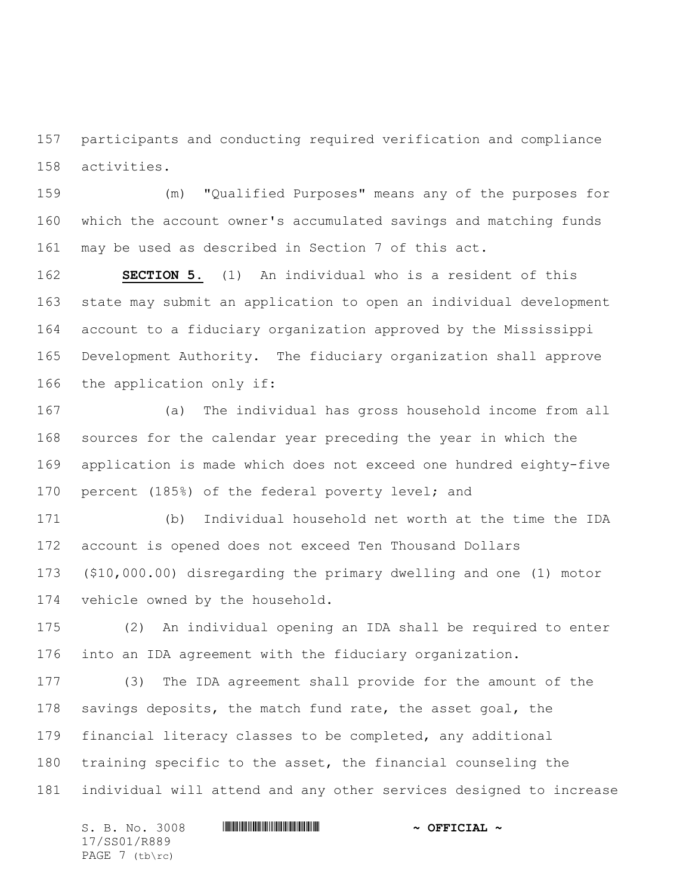participants and conducting required verification and compliance activities.

 (m) "Qualified Purposes" means any of the purposes for which the account owner's accumulated savings and matching funds may be used as described in Section 7 of this act.

 **SECTION 5.** (1) An individual who is a resident of this state may submit an application to open an individual development account to a fiduciary organization approved by the Mississippi Development Authority. The fiduciary organization shall approve the application only if:

 (a) The individual has gross household income from all sources for the calendar year preceding the year in which the application is made which does not exceed one hundred eighty-five percent (185%) of the federal poverty level; and

 (b) Individual household net worth at the time the IDA account is opened does not exceed Ten Thousand Dollars (\$10,000.00) disregarding the primary dwelling and one (1) motor vehicle owned by the household.

 (2) An individual opening an IDA shall be required to enter into an IDA agreement with the fiduciary organization.

 (3) The IDA agreement shall provide for the amount of the 178 savings deposits, the match fund rate, the asset goal, the financial literacy classes to be completed, any additional training specific to the asset, the financial counseling the individual will attend and any other services designed to increase

S. B. No. 3008 **\*\*\* | ASSEMBLE ASSEMBLE ASSEMBLE ASSEMBLE ASSEMBLE ASSESSED.** 17/SS01/R889 PAGE 7 (tb\rc)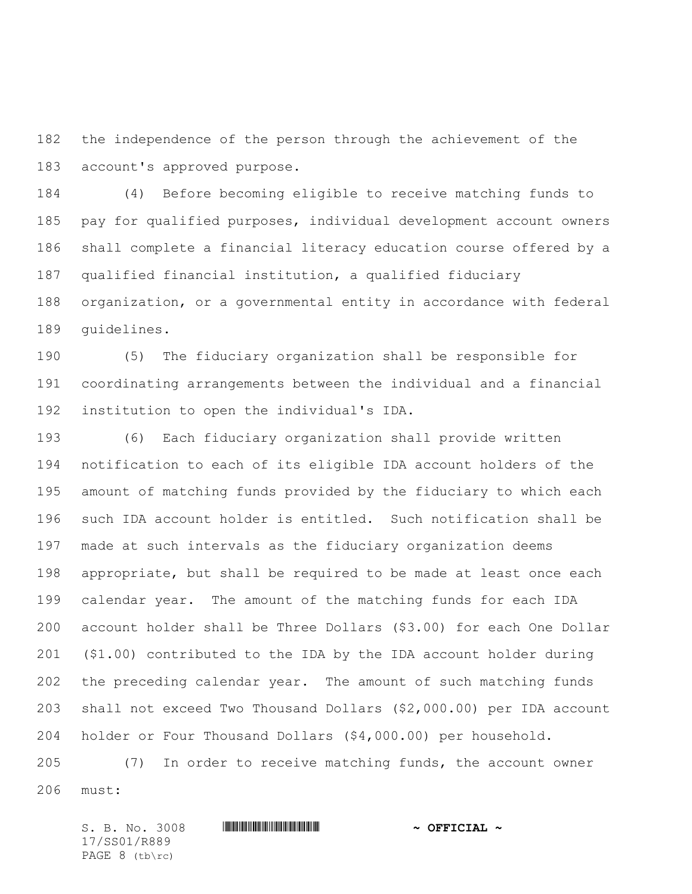the independence of the person through the achievement of the account's approved purpose.

 (4) Before becoming eligible to receive matching funds to pay for qualified purposes, individual development account owners shall complete a financial literacy education course offered by a qualified financial institution, a qualified fiduciary organization, or a governmental entity in accordance with federal guidelines.

 (5) The fiduciary organization shall be responsible for coordinating arrangements between the individual and a financial institution to open the individual's IDA.

 (6) Each fiduciary organization shall provide written notification to each of its eligible IDA account holders of the amount of matching funds provided by the fiduciary to which each such IDA account holder is entitled. Such notification shall be made at such intervals as the fiduciary organization deems appropriate, but shall be required to be made at least once each calendar year. The amount of the matching funds for each IDA account holder shall be Three Dollars (\$3.00) for each One Dollar (\$1.00) contributed to the IDA by the IDA account holder during the preceding calendar year. The amount of such matching funds shall not exceed Two Thousand Dollars (\$2,000.00) per IDA account holder or Four Thousand Dollars (\$4,000.00) per household.

 (7) In order to receive matching funds, the account owner must:

S. B. No. 3008 **\*\*\* | ASSEMBLE ASSEMBLE ASSEMBLE ASSEMBLE ASSEMBLE ASSESSED.** 17/SS01/R889 PAGE 8 (tb\rc)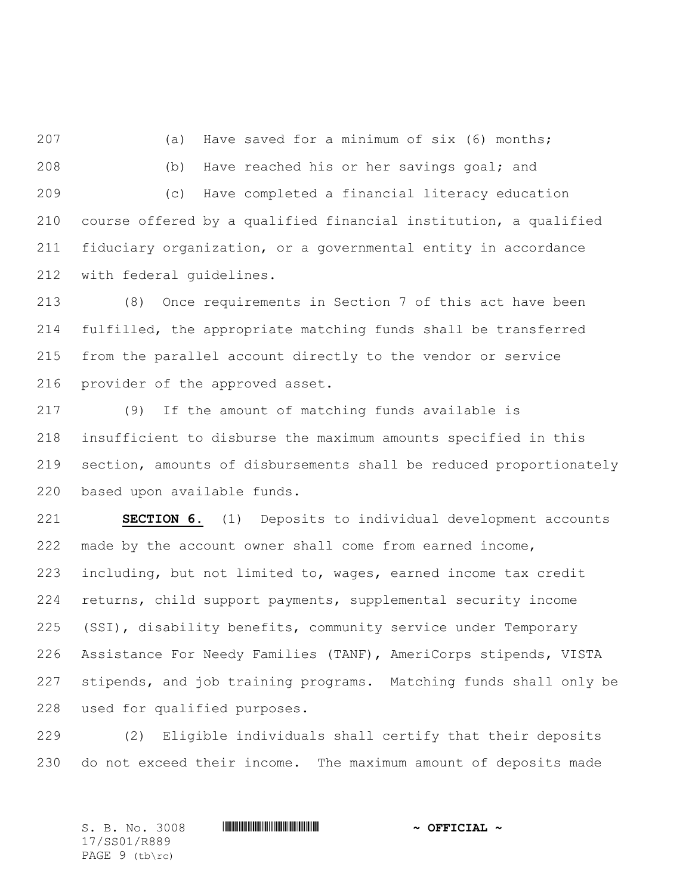(a) Have saved for a minimum of six (6) months; (b) Have reached his or her savings goal; and (c) Have completed a financial literacy education course offered by a qualified financial institution, a qualified fiduciary organization, or a governmental entity in accordance with federal guidelines.

 (8) Once requirements in Section 7 of this act have been fulfilled, the appropriate matching funds shall be transferred from the parallel account directly to the vendor or service provider of the approved asset.

 (9) If the amount of matching funds available is insufficient to disburse the maximum amounts specified in this section, amounts of disbursements shall be reduced proportionately based upon available funds.

 **SECTION 6.** (1) Deposits to individual development accounts made by the account owner shall come from earned income, including, but not limited to, wages, earned income tax credit returns, child support payments, supplemental security income (SSI), disability benefits, community service under Temporary Assistance For Needy Families (TANF), AmeriCorps stipends, VISTA stipends, and job training programs. Matching funds shall only be used for qualified purposes.

 (2) Eligible individuals shall certify that their deposits do not exceed their income. The maximum amount of deposits made

S. B. No. 3008 \*SS01/R889\* **~ OFFICIAL ~** 17/SS01/R889 PAGE 9 (tb\rc)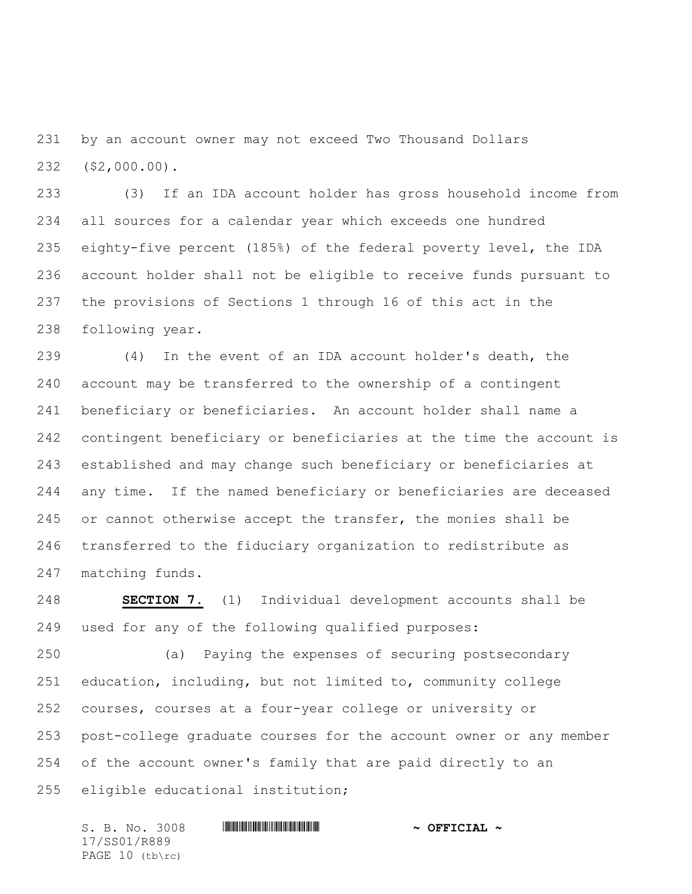by an account owner may not exceed Two Thousand Dollars (\$2,000.00).

 (3) If an IDA account holder has gross household income from all sources for a calendar year which exceeds one hundred eighty-five percent (185%) of the federal poverty level, the IDA account holder shall not be eligible to receive funds pursuant to the provisions of Sections 1 through 16 of this act in the following year.

 (4) In the event of an IDA account holder's death, the account may be transferred to the ownership of a contingent beneficiary or beneficiaries. An account holder shall name a contingent beneficiary or beneficiaries at the time the account is established and may change such beneficiary or beneficiaries at any time. If the named beneficiary or beneficiaries are deceased or cannot otherwise accept the transfer, the monies shall be transferred to the fiduciary organization to redistribute as matching funds.

 **SECTION 7.** (1) Individual development accounts shall be used for any of the following qualified purposes:

 (a) Paying the expenses of securing postsecondary education, including, but not limited to, community college courses, courses at a four-year college or university or post-college graduate courses for the account owner or any member of the account owner's family that are paid directly to an eligible educational institution;

S. B. No. 3008 **\*\*\* | ASSEMBLE ASSEMBLE ASSEMBLE ASSEMBLE ASSEMBLE ASSESSED.** 17/SS01/R889 PAGE 10 (tb\rc)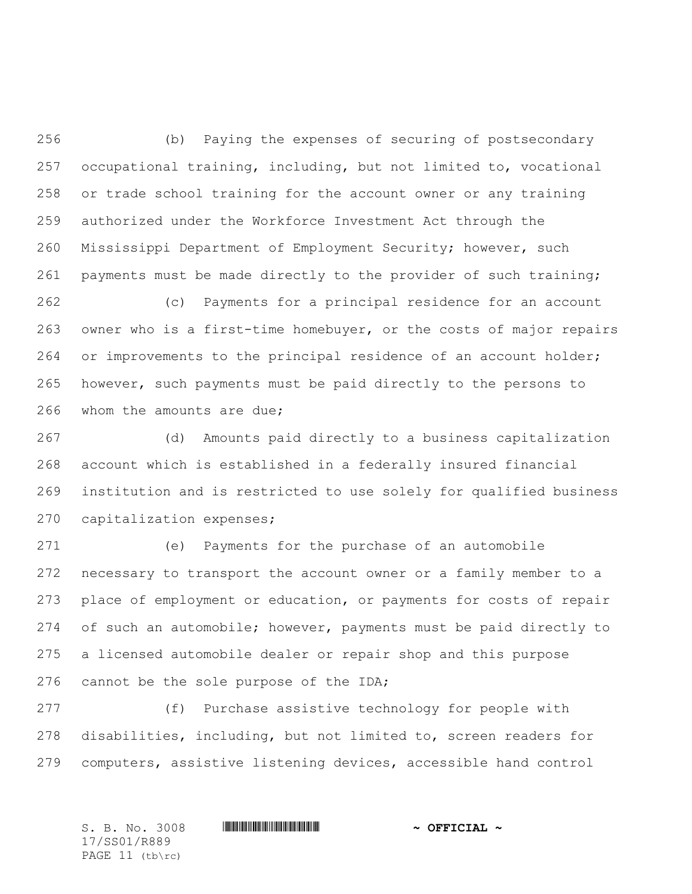(b) Paying the expenses of securing of postsecondary occupational training, including, but not limited to, vocational or trade school training for the account owner or any training authorized under the Workforce Investment Act through the Mississippi Department of Employment Security; however, such payments must be made directly to the provider of such training;

 (c) Payments for a principal residence for an account owner who is a first-time homebuyer, or the costs of major repairs or improvements to the principal residence of an account holder; however, such payments must be paid directly to the persons to whom the amounts are due;

 (d) Amounts paid directly to a business capitalization account which is established in a federally insured financial institution and is restricted to use solely for qualified business capitalization expenses;

 (e) Payments for the purchase of an automobile necessary to transport the account owner or a family member to a place of employment or education, or payments for costs of repair of such an automobile; however, payments must be paid directly to a licensed automobile dealer or repair shop and this purpose 276 cannot be the sole purpose of the IDA;

 (f) Purchase assistive technology for people with disabilities, including, but not limited to, screen readers for computers, assistive listening devices, accessible hand control

17/SS01/R889 PAGE 11 (tb\rc)

S. B. No. 3008 \*SS01/R889\* **~ OFFICIAL ~**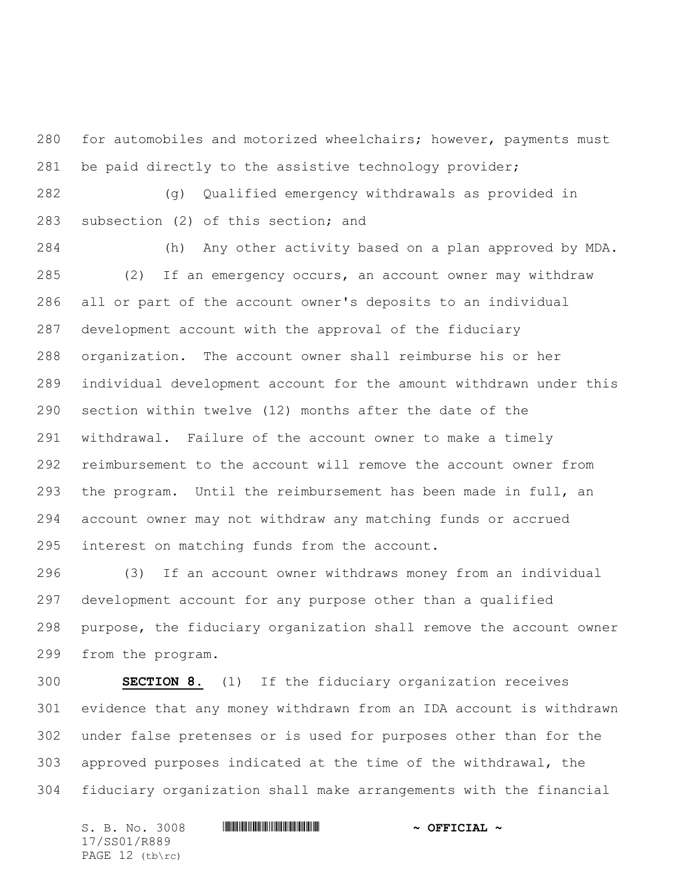for automobiles and motorized wheelchairs; however, payments must be paid directly to the assistive technology provider;

 (g) Qualified emergency withdrawals as provided in subsection (2) of this section; and

 (h) Any other activity based on a plan approved by MDA. (2) If an emergency occurs, an account owner may withdraw all or part of the account owner's deposits to an individual development account with the approval of the fiduciary organization. The account owner shall reimburse his or her individual development account for the amount withdrawn under this section within twelve (12) months after the date of the withdrawal. Failure of the account owner to make a timely reimbursement to the account will remove the account owner from the program. Until the reimbursement has been made in full, an account owner may not withdraw any matching funds or accrued interest on matching funds from the account.

 (3) If an account owner withdraws money from an individual development account for any purpose other than a qualified purpose, the fiduciary organization shall remove the account owner from the program.

 **SECTION 8.** (1) If the fiduciary organization receives evidence that any money withdrawn from an IDA account is withdrawn under false pretenses or is used for purposes other than for the approved purposes indicated at the time of the withdrawal, the fiduciary organization shall make arrangements with the financial

S. B. No. 3008 \*SS01/R889\* **~ OFFICIAL ~** 17/SS01/R889 PAGE 12 (tb\rc)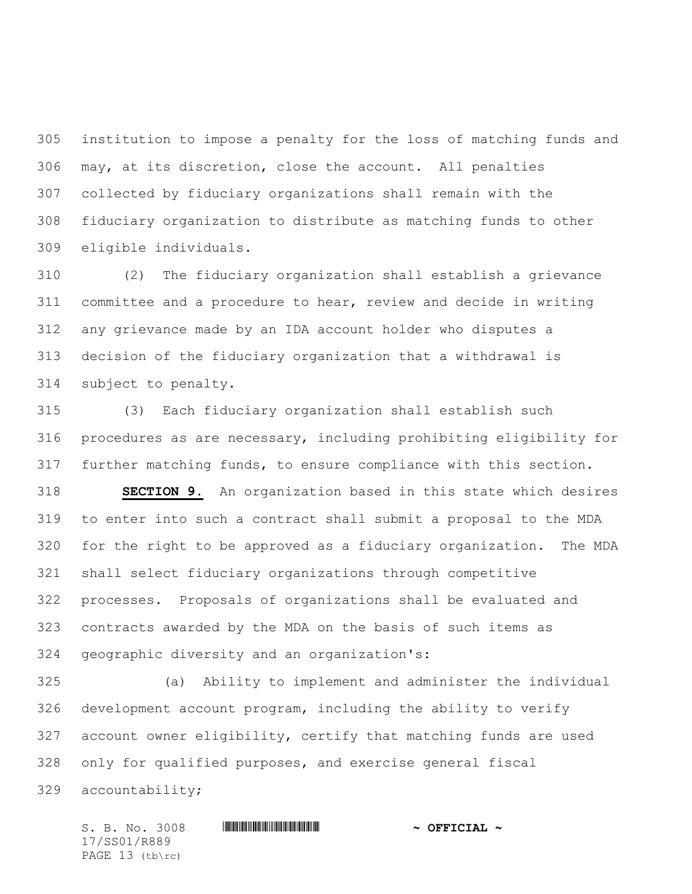institution to impose a penalty for the loss of matching funds and may, at its discretion, close the account. All penalties collected by fiduciary organizations shall remain with the fiduciary organization to distribute as matching funds to other eligible individuals.

 (2) The fiduciary organization shall establish a grievance committee and a procedure to hear, review and decide in writing any grievance made by an IDA account holder who disputes a decision of the fiduciary organization that a withdrawal is subject to penalty.

 (3) Each fiduciary organization shall establish such procedures as are necessary, including prohibiting eligibility for further matching funds, to ensure compliance with this section.

 **SECTION 9.** An organization based in this state which desires to enter into such a contract shall submit a proposal to the MDA for the right to be approved as a fiduciary organization. The MDA shall select fiduciary organizations through competitive processes. Proposals of organizations shall be evaluated and contracts awarded by the MDA on the basis of such items as geographic diversity and an organization's:

 (a) Ability to implement and administer the individual development account program, including the ability to verify account owner eligibility, certify that matching funds are used only for qualified purposes, and exercise general fiscal accountability;

S. B. No. 3008 **\*\*\* | ASSEMBLE ASSEMBLE ASSEMBLE ASSEMBLE ASSEMBLE ASSESSED.** 17/SS01/R889 PAGE 13 (tb\rc)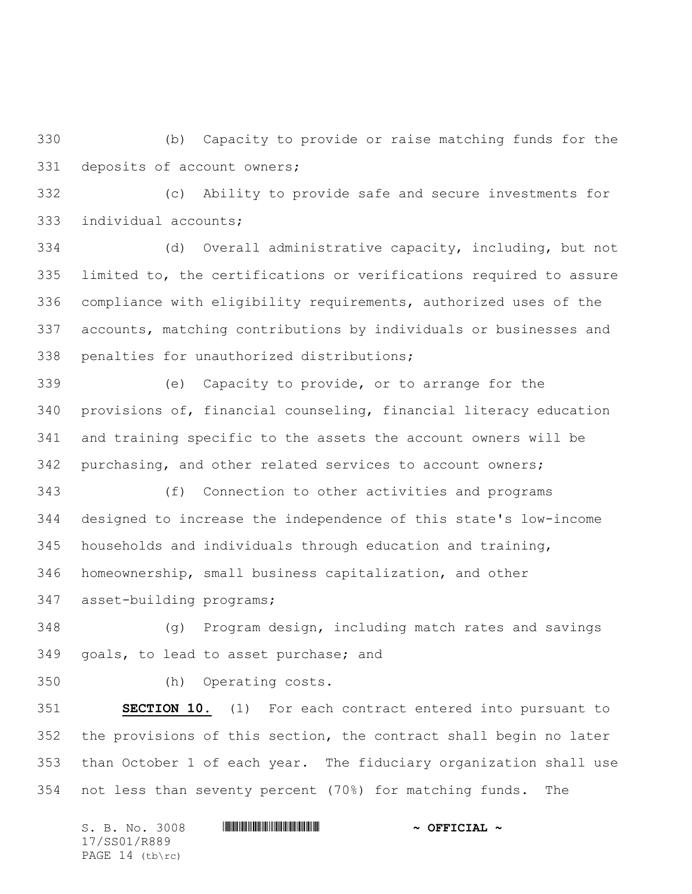(b) Capacity to provide or raise matching funds for the deposits of account owners;

 (c) Ability to provide safe and secure investments for individual accounts;

 (d) Overall administrative capacity, including, but not limited to, the certifications or verifications required to assure compliance with eligibility requirements, authorized uses of the accounts, matching contributions by individuals or businesses and penalties for unauthorized distributions;

 (e) Capacity to provide, or to arrange for the provisions of, financial counseling, financial literacy education and training specific to the assets the account owners will be purchasing, and other related services to account owners;

 (f) Connection to other activities and programs designed to increase the independence of this state's low-income households and individuals through education and training, homeownership, small business capitalization, and other asset-building programs;

 (g) Program design, including match rates and savings goals, to lead to asset purchase; and

(h) Operating costs.

 **SECTION 10.** (1) For each contract entered into pursuant to the provisions of this section, the contract shall begin no later than October 1 of each year. The fiduciary organization shall use not less than seventy percent (70%) for matching funds. The

S. B. No. 3008 \*SS01/R889\* **~ OFFICIAL ~** 17/SS01/R889 PAGE 14 (tb\rc)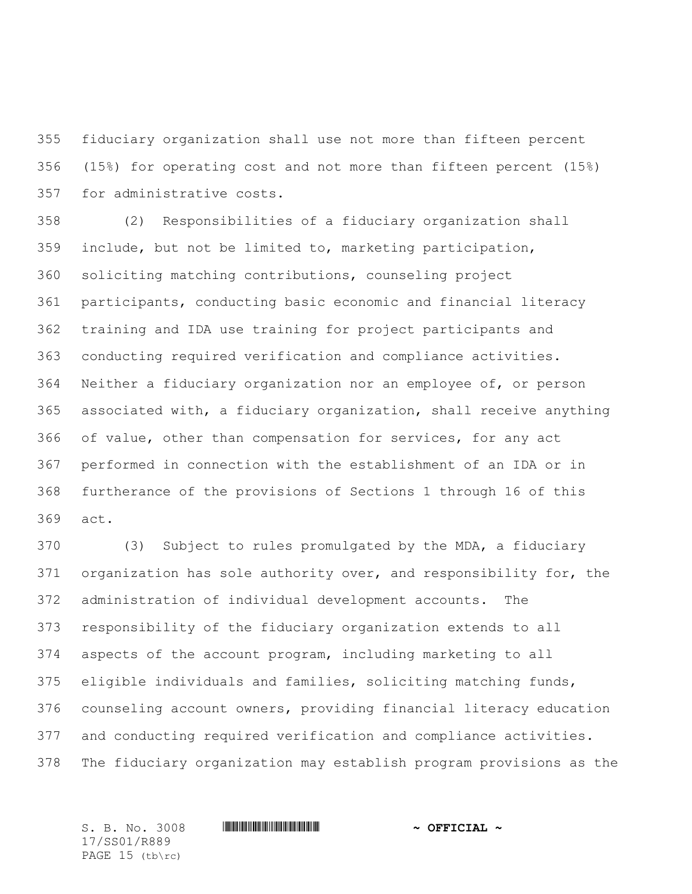fiduciary organization shall use not more than fifteen percent (15%) for operating cost and not more than fifteen percent (15%) for administrative costs.

 (2) Responsibilities of a fiduciary organization shall include, but not be limited to, marketing participation, soliciting matching contributions, counseling project participants, conducting basic economic and financial literacy training and IDA use training for project participants and conducting required verification and compliance activities. Neither a fiduciary organization nor an employee of, or person associated with, a fiduciary organization, shall receive anything of value, other than compensation for services, for any act performed in connection with the establishment of an IDA or in furtherance of the provisions of Sections 1 through 16 of this act.

 (3) Subject to rules promulgated by the MDA, a fiduciary organization has sole authority over, and responsibility for, the administration of individual development accounts. The responsibility of the fiduciary organization extends to all aspects of the account program, including marketing to all eligible individuals and families, soliciting matching funds, counseling account owners, providing financial literacy education and conducting required verification and compliance activities. The fiduciary organization may establish program provisions as the

17/SS01/R889 PAGE 15 (tb\rc)

S. B. No. 3008 **\*\*\* | ASSEMBLE ASSEMBLE ASSEMBLE ASSEMBLE ASSEMBLE ASSESSED.**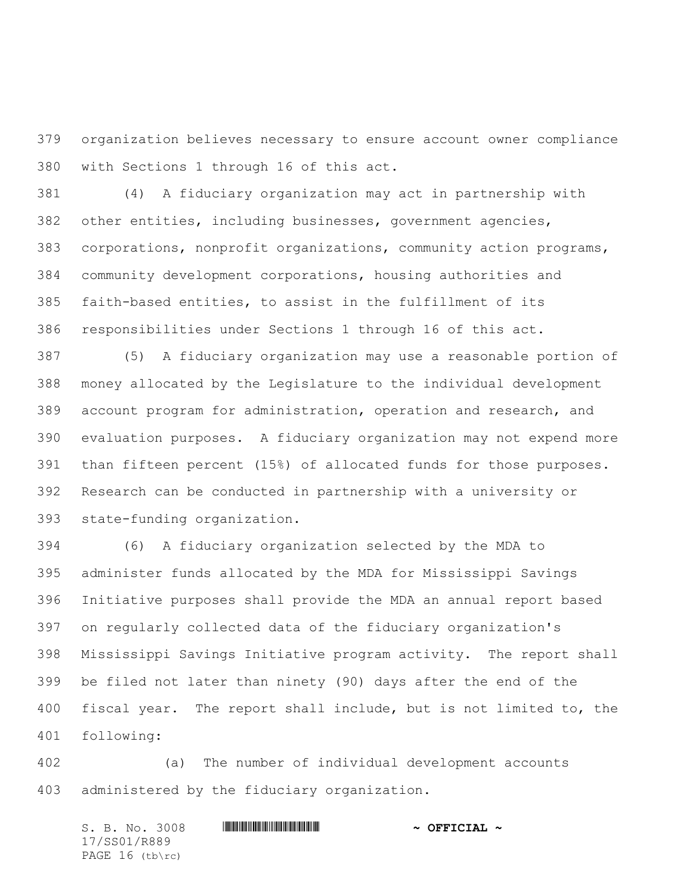organization believes necessary to ensure account owner compliance with Sections 1 through 16 of this act.

 (4) A fiduciary organization may act in partnership with other entities, including businesses, government agencies, corporations, nonprofit organizations, community action programs, community development corporations, housing authorities and faith-based entities, to assist in the fulfillment of its responsibilities under Sections 1 through 16 of this act.

 (5) A fiduciary organization may use a reasonable portion of money allocated by the Legislature to the individual development account program for administration, operation and research, and evaluation purposes. A fiduciary organization may not expend more than fifteen percent (15%) of allocated funds for those purposes. Research can be conducted in partnership with a university or state-funding organization.

 (6) A fiduciary organization selected by the MDA to administer funds allocated by the MDA for Mississippi Savings Initiative purposes shall provide the MDA an annual report based on regularly collected data of the fiduciary organization's Mississippi Savings Initiative program activity. The report shall be filed not later than ninety (90) days after the end of the fiscal year. The report shall include, but is not limited to, the following:

 (a) The number of individual development accounts administered by the fiduciary organization.

S. B. No. 3008 \*SS01/R889\* **~ OFFICIAL ~** 17/SS01/R889 PAGE 16 (tb\rc)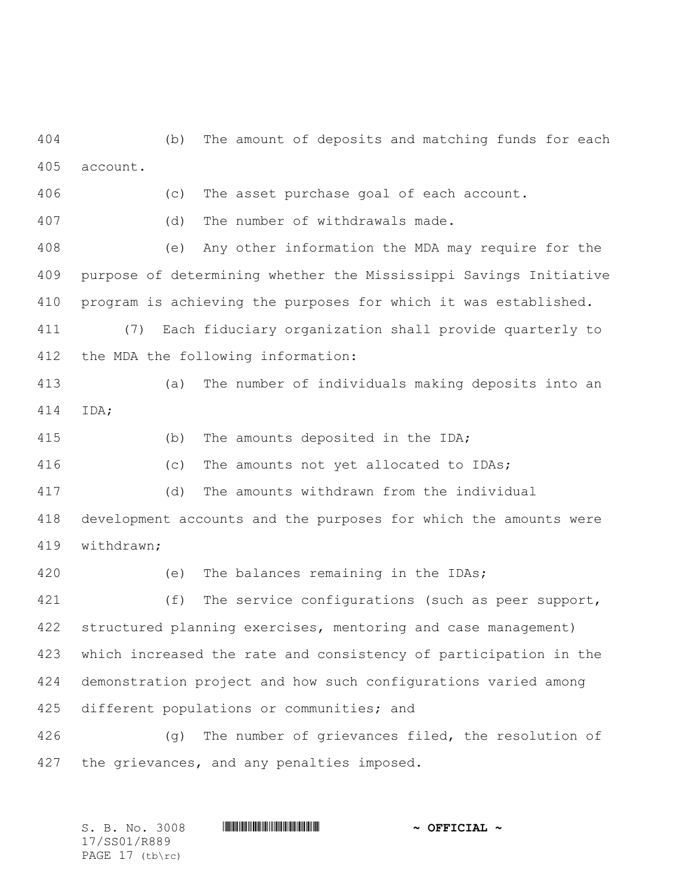(b) The amount of deposits and matching funds for each account.

(c) The asset purchase goal of each account.

(d) The number of withdrawals made.

 (e) Any other information the MDA may require for the purpose of determining whether the Mississippi Savings Initiative program is achieving the purposes for which it was established.

 (7) Each fiduciary organization shall provide quarterly to the MDA the following information:

 (a) The number of individuals making deposits into an IDA;

(b) The amounts deposited in the IDA;

(c) The amounts not yet allocated to IDAs;

(d) The amounts withdrawn from the individual

 development accounts and the purposes for which the amounts were withdrawn;

 (e) The balances remaining in the IDAs; 421 (f) The service configurations (such as peer support, structured planning exercises, mentoring and case management) which increased the rate and consistency of participation in the demonstration project and how such configurations varied among different populations or communities; and

 (g) The number of grievances filed, the resolution of the grievances, and any penalties imposed.

S. B. No. 3008 **\*\*\* | ASSEMBLE ASSEMBLE ASSEMBLE ASSEMBLE ASSEMBLE ASSESSED.** 17/SS01/R889 PAGE 17 (tb\rc)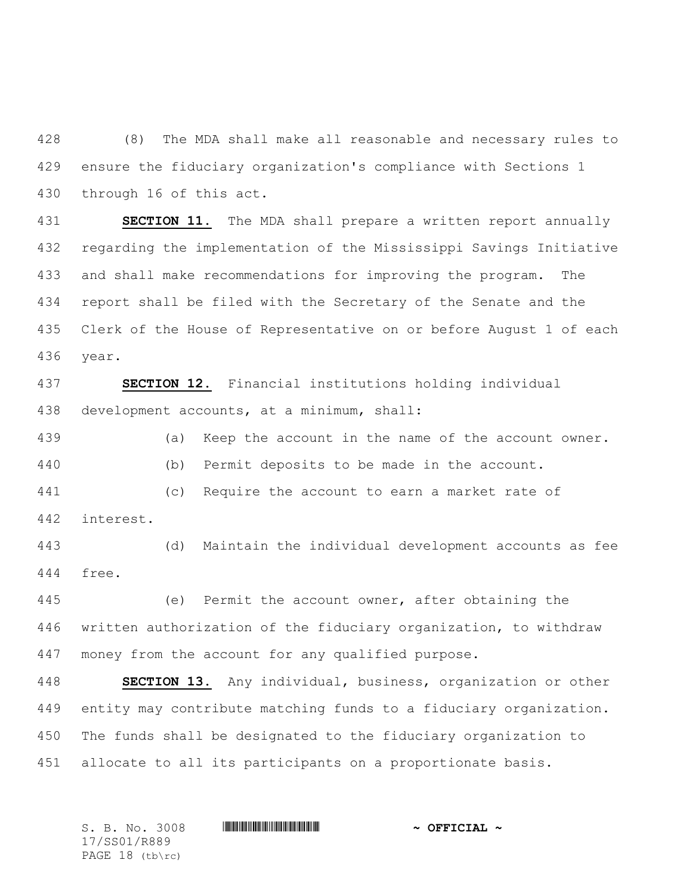(8) The MDA shall make all reasonable and necessary rules to ensure the fiduciary organization's compliance with Sections 1 through 16 of this act.

 **SECTION 11.** The MDA shall prepare a written report annually regarding the implementation of the Mississippi Savings Initiative and shall make recommendations for improving the program. The report shall be filed with the Secretary of the Senate and the Clerk of the House of Representative on or before August 1 of each year.

 **SECTION 12.** Financial institutions holding individual development accounts, at a minimum, shall:

 (a) Keep the account in the name of the account owner. (b) Permit deposits to be made in the account. (c) Require the account to earn a market rate of interest.

 (d) Maintain the individual development accounts as fee free.

 (e) Permit the account owner, after obtaining the written authorization of the fiduciary organization, to withdraw money from the account for any qualified purpose.

 **SECTION 13.** Any individual, business, organization or other entity may contribute matching funds to a fiduciary organization. The funds shall be designated to the fiduciary organization to allocate to all its participants on a proportionate basis.

S. B. No. 3008 **\*\*\* | ASSEMBLE ASSEMBLE ASSEMBLE ASSEMBLE ASSEMBLE ASSESSED.** 17/SS01/R889 PAGE 18 (tb\rc)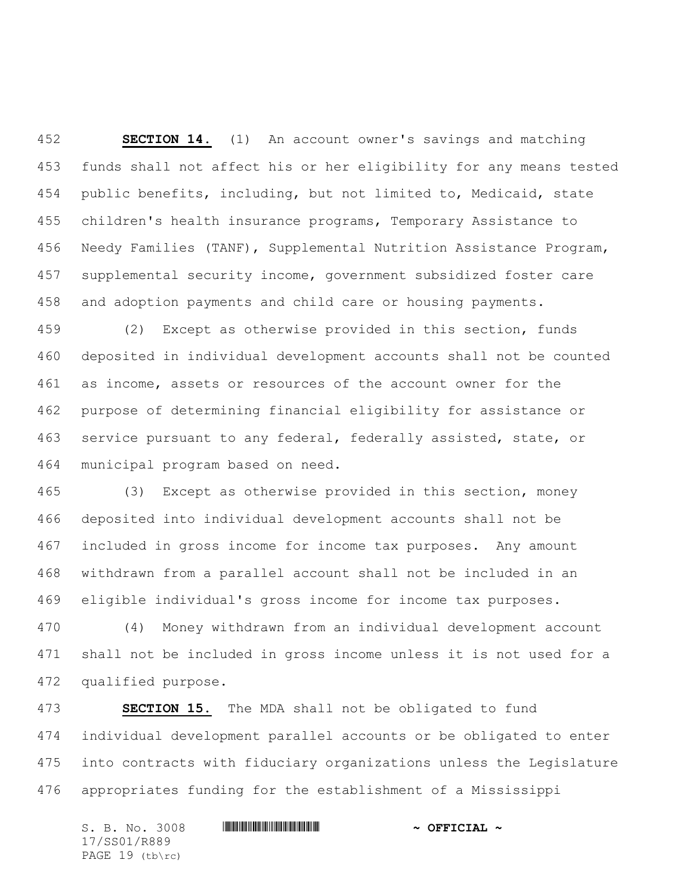**SECTION 14.** (1) An account owner's savings and matching funds shall not affect his or her eligibility for any means tested public benefits, including, but not limited to, Medicaid, state children's health insurance programs, Temporary Assistance to Needy Families (TANF), Supplemental Nutrition Assistance Program, supplemental security income, government subsidized foster care and adoption payments and child care or housing payments.

 (2) Except as otherwise provided in this section, funds deposited in individual development accounts shall not be counted as income, assets or resources of the account owner for the purpose of determining financial eligibility for assistance or service pursuant to any federal, federally assisted, state, or municipal program based on need.

 (3) Except as otherwise provided in this section, money deposited into individual development accounts shall not be included in gross income for income tax purposes. Any amount withdrawn from a parallel account shall not be included in an eligible individual's gross income for income tax purposes.

 (4) Money withdrawn from an individual development account shall not be included in gross income unless it is not used for a qualified purpose.

 **SECTION 15.** The MDA shall not be obligated to fund individual development parallel accounts or be obligated to enter into contracts with fiduciary organizations unless the Legislature appropriates funding for the establishment of a Mississippi

S. B. No. 3008 \*SS01/R889\* **~ OFFICIAL ~** 17/SS01/R889 PAGE 19 (tb\rc)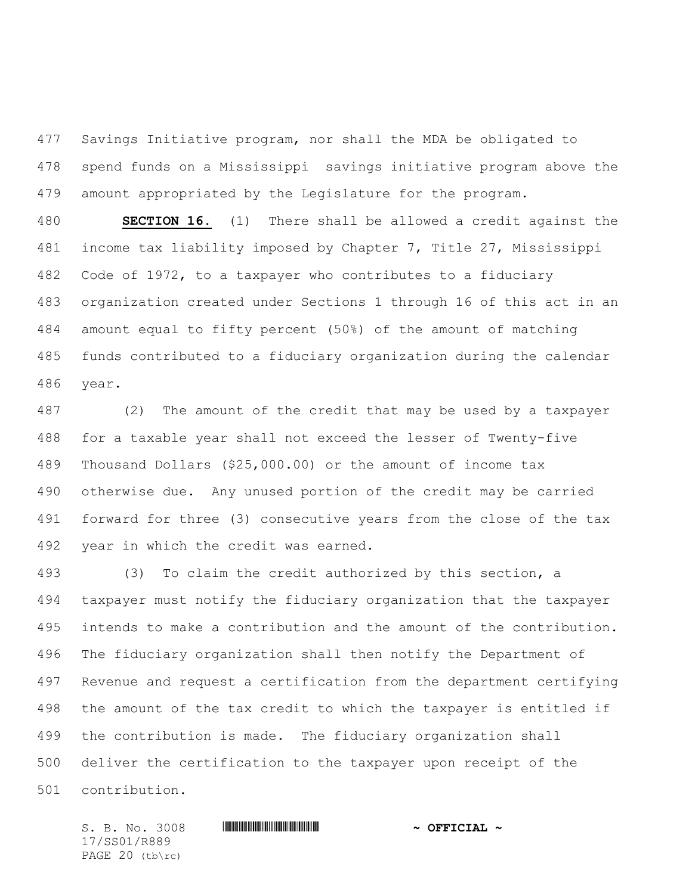Savings Initiative program, nor shall the MDA be obligated to spend funds on a Mississippi savings initiative program above the amount appropriated by the Legislature for the program.

 **SECTION 16.** (1) There shall be allowed a credit against the income tax liability imposed by Chapter 7, Title 27, Mississippi Code of 1972, to a taxpayer who contributes to a fiduciary organization created under Sections 1 through 16 of this act in an amount equal to fifty percent (50%) of the amount of matching funds contributed to a fiduciary organization during the calendar year.

 (2) The amount of the credit that may be used by a taxpayer for a taxable year shall not exceed the lesser of Twenty-five Thousand Dollars (\$25,000.00) or the amount of income tax otherwise due. Any unused portion of the credit may be carried forward for three (3) consecutive years from the close of the tax year in which the credit was earned.

 (3) To claim the credit authorized by this section, a taxpayer must notify the fiduciary organization that the taxpayer intends to make a contribution and the amount of the contribution. The fiduciary organization shall then notify the Department of Revenue and request a certification from the department certifying the amount of the tax credit to which the taxpayer is entitled if the contribution is made. The fiduciary organization shall deliver the certification to the taxpayer upon receipt of the contribution.

17/SS01/R889 PAGE 20 (tb\rc)

## S. B. No. 3008 **\*\*\* | ASSEMBLE ASSEMBLE ASSEMBLE ASSEMBLE ASSEMBLE ASSESSED.**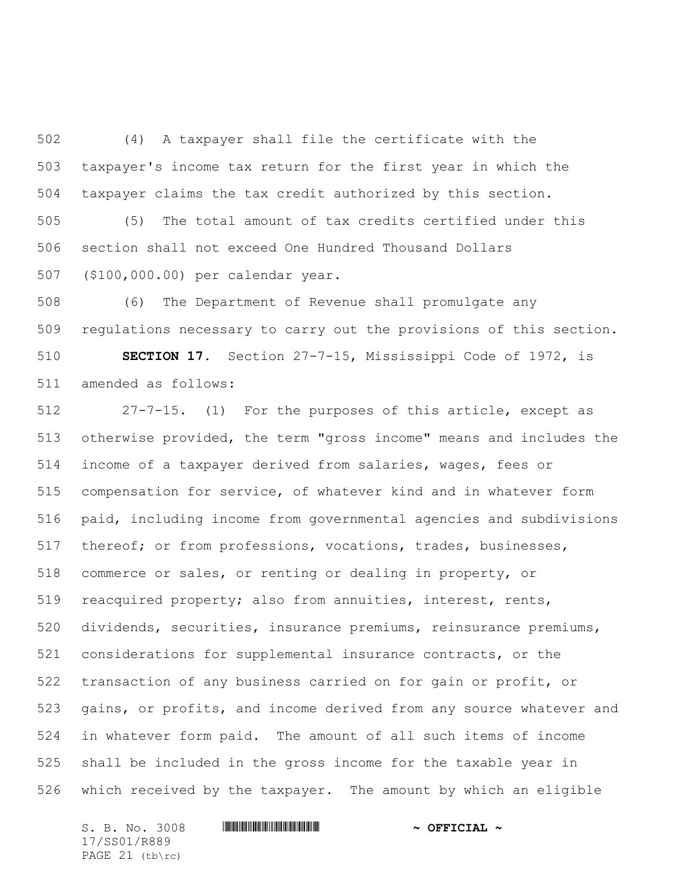(4) A taxpayer shall file the certificate with the taxpayer's income tax return for the first year in which the taxpayer claims the tax credit authorized by this section.

 (5) The total amount of tax credits certified under this section shall not exceed One Hundred Thousand Dollars (\$100,000.00) per calendar year.

 (6) The Department of Revenue shall promulgate any regulations necessary to carry out the provisions of this section.

 **SECTION 17.** Section 27-7-15, Mississippi Code of 1972, is amended as follows:

 27-7-15. (1) For the purposes of this article, except as otherwise provided, the term "gross income" means and includes the income of a taxpayer derived from salaries, wages, fees or compensation for service, of whatever kind and in whatever form paid, including income from governmental agencies and subdivisions thereof; or from professions, vocations, trades, businesses, commerce or sales, or renting or dealing in property, or reacquired property; also from annuities, interest, rents, dividends, securities, insurance premiums, reinsurance premiums, considerations for supplemental insurance contracts, or the transaction of any business carried on for gain or profit, or gains, or profits, and income derived from any source whatever and in whatever form paid. The amount of all such items of income shall be included in the gross income for the taxable year in which received by the taxpayer. The amount by which an eligible

17/SS01/R889 PAGE 21 (tb\rc)

S. B. No. 3008 \*SS01/R889\* **~ OFFICIAL ~**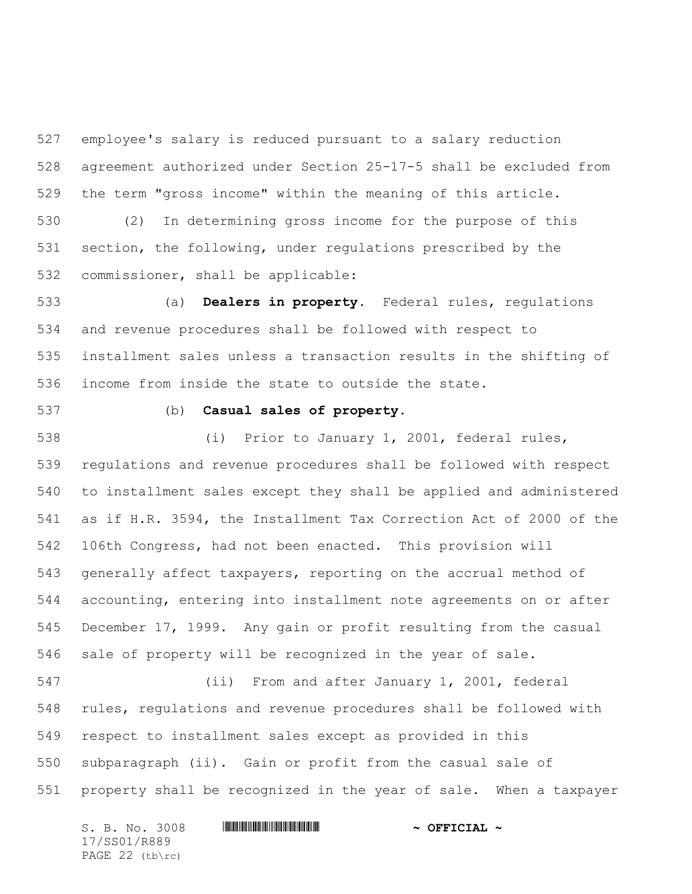employee's salary is reduced pursuant to a salary reduction agreement authorized under Section 25-17-5 shall be excluded from the term "gross income" within the meaning of this article.

 (2) In determining gross income for the purpose of this section, the following, under regulations prescribed by the commissioner, shall be applicable:

 (a) **Dealers in property.** Federal rules, regulations and revenue procedures shall be followed with respect to installment sales unless a transaction results in the shifting of income from inside the state to outside the state.

## (b) **Casual sales of property.**

 (i) Prior to January 1, 2001, federal rules, regulations and revenue procedures shall be followed with respect to installment sales except they shall be applied and administered as if H.R. 3594, the Installment Tax Correction Act of 2000 of the 106th Congress, had not been enacted. This provision will generally affect taxpayers, reporting on the accrual method of accounting, entering into installment note agreements on or after December 17, 1999. Any gain or profit resulting from the casual sale of property will be recognized in the year of sale.

 (ii) From and after January 1, 2001, federal rules, regulations and revenue procedures shall be followed with respect to installment sales except as provided in this subparagraph (ii). Gain or profit from the casual sale of property shall be recognized in the year of sale. When a taxpayer

S. B. No. 3008 **\*\*\* | ASSEMBLE ASSEMBLE ASSEMBLE ASSEMBLE ASSEMBLE ASSESSED.** 17/SS01/R889 PAGE 22 (tb\rc)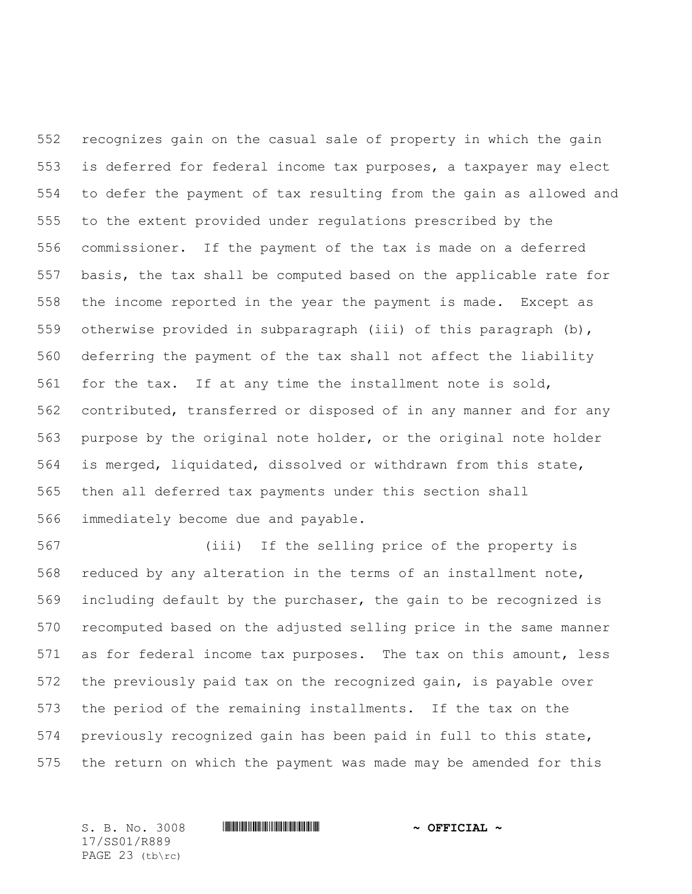recognizes gain on the casual sale of property in which the gain is deferred for federal income tax purposes, a taxpayer may elect to defer the payment of tax resulting from the gain as allowed and to the extent provided under regulations prescribed by the commissioner. If the payment of the tax is made on a deferred basis, the tax shall be computed based on the applicable rate for the income reported in the year the payment is made. Except as otherwise provided in subparagraph (iii) of this paragraph (b), deferring the payment of the tax shall not affect the liability for the tax. If at any time the installment note is sold, contributed, transferred or disposed of in any manner and for any purpose by the original note holder, or the original note holder is merged, liquidated, dissolved or withdrawn from this state, then all deferred tax payments under this section shall immediately become due and payable.

 (iii) If the selling price of the property is reduced by any alteration in the terms of an installment note, including default by the purchaser, the gain to be recognized is recomputed based on the adjusted selling price in the same manner as for federal income tax purposes. The tax on this amount, less the previously paid tax on the recognized gain, is payable over the period of the remaining installments. If the tax on the previously recognized gain has been paid in full to this state, the return on which the payment was made may be amended for this

S. B. No. 3008 **\*\*\* | ASSEMBLE ASSEMBLE ASSEMBLE ASSEMBLE ASSEMBLE ASSESSED.** 17/SS01/R889 PAGE 23 (tb\rc)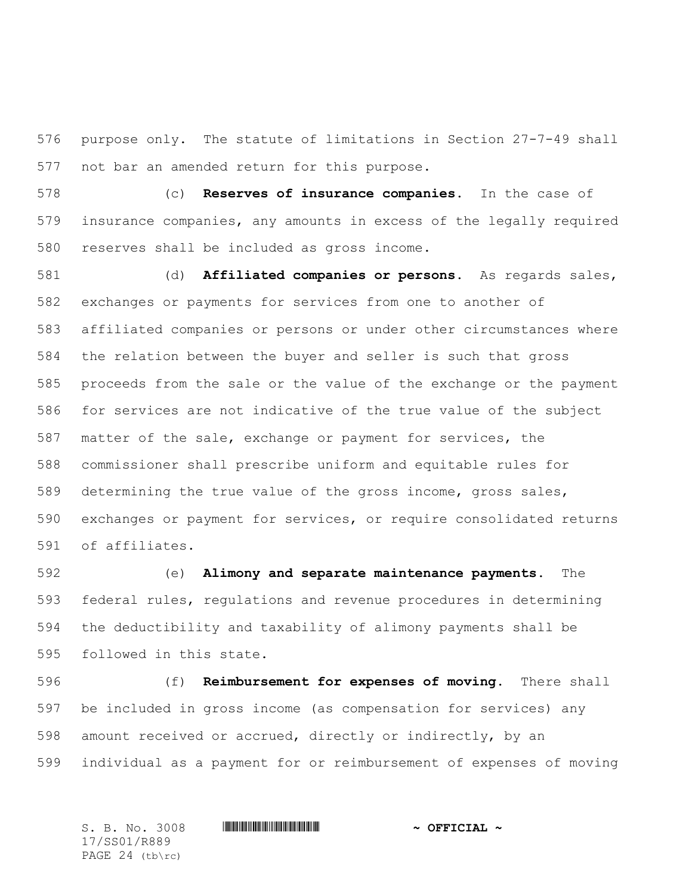purpose only. The statute of limitations in Section 27-7-49 shall not bar an amended return for this purpose.

 (c) **Reserves of insurance companies.** In the case of insurance companies, any amounts in excess of the legally required reserves shall be included as gross income.

 (d) **Affiliated companies or persons.** As regards sales, exchanges or payments for services from one to another of affiliated companies or persons or under other circumstances where the relation between the buyer and seller is such that gross proceeds from the sale or the value of the exchange or the payment for services are not indicative of the true value of the subject matter of the sale, exchange or payment for services, the commissioner shall prescribe uniform and equitable rules for determining the true value of the gross income, gross sales, exchanges or payment for services, or require consolidated returns of affiliates.

 (e) **Alimony and separate maintenance payments.** The federal rules, regulations and revenue procedures in determining the deductibility and taxability of alimony payments shall be followed in this state.

 (f) **Reimbursement for expenses of moving.** There shall be included in gross income (as compensation for services) any amount received or accrued, directly or indirectly, by an individual as a payment for or reimbursement of expenses of moving

S. B. No. 3008 **\*\*\* | ASSEMBLE ASSEMBLE ASSEMBLE ASSEMBLE ASSEMBLE ASSESSED.** 17/SS01/R889 PAGE 24 (tb\rc)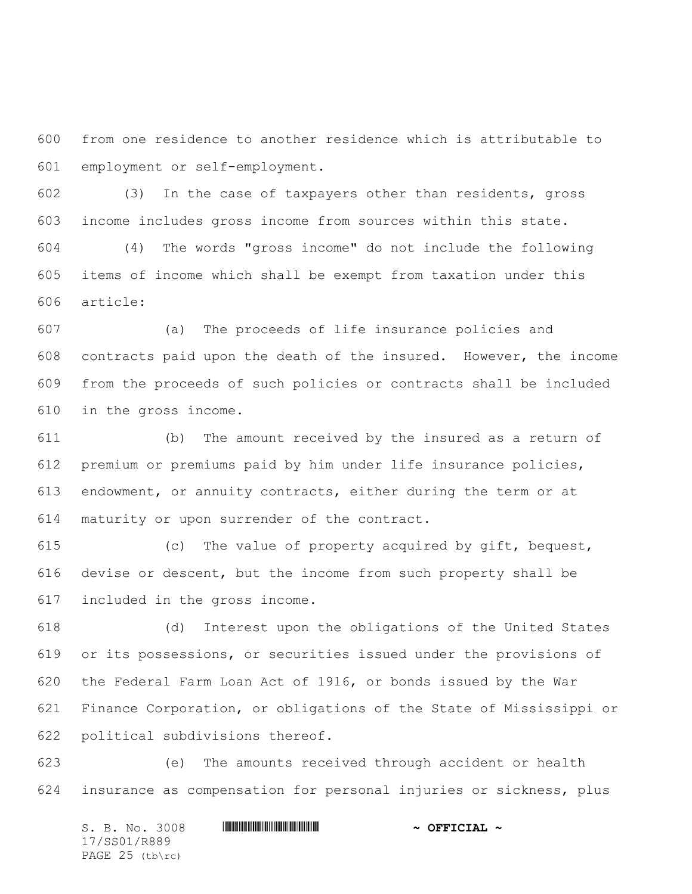from one residence to another residence which is attributable to employment or self-employment.

 (3) In the case of taxpayers other than residents, gross income includes gross income from sources within this state.

 (4) The words "gross income" do not include the following items of income which shall be exempt from taxation under this article:

 (a) The proceeds of life insurance policies and contracts paid upon the death of the insured. However, the income from the proceeds of such policies or contracts shall be included in the gross income.

 (b) The amount received by the insured as a return of premium or premiums paid by him under life insurance policies, endowment, or annuity contracts, either during the term or at maturity or upon surrender of the contract.

 (c) The value of property acquired by gift, bequest, devise or descent, but the income from such property shall be included in the gross income.

 (d) Interest upon the obligations of the United States or its possessions, or securities issued under the provisions of the Federal Farm Loan Act of 1916, or bonds issued by the War Finance Corporation, or obligations of the State of Mississippi or political subdivisions thereof.

 (e) The amounts received through accident or health insurance as compensation for personal injuries or sickness, plus

S. B. No. 3008 \*SS01/R889\* **~ OFFICIAL ~** 17/SS01/R889 PAGE 25 (tb\rc)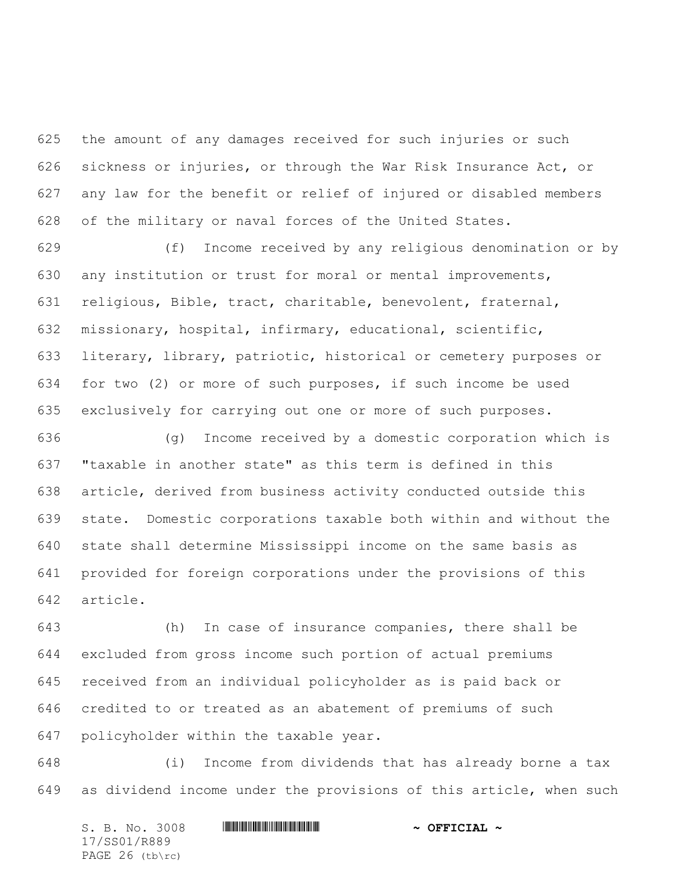the amount of any damages received for such injuries or such sickness or injuries, or through the War Risk Insurance Act, or any law for the benefit or relief of injured or disabled members of the military or naval forces of the United States.

 (f) Income received by any religious denomination or by any institution or trust for moral or mental improvements, religious, Bible, tract, charitable, benevolent, fraternal, missionary, hospital, infirmary, educational, scientific, literary, library, patriotic, historical or cemetery purposes or for two (2) or more of such purposes, if such income be used exclusively for carrying out one or more of such purposes.

 (g) Income received by a domestic corporation which is "taxable in another state" as this term is defined in this article, derived from business activity conducted outside this state. Domestic corporations taxable both within and without the state shall determine Mississippi income on the same basis as provided for foreign corporations under the provisions of this article.

 (h) In case of insurance companies, there shall be excluded from gross income such portion of actual premiums received from an individual policyholder as is paid back or credited to or treated as an abatement of premiums of such policyholder within the taxable year.

 (i) Income from dividends that has already borne a tax as dividend income under the provisions of this article, when such

S. B. No. 3008 \*SS01/R889\* **~ OFFICIAL ~** 17/SS01/R889 PAGE 26 (tb\rc)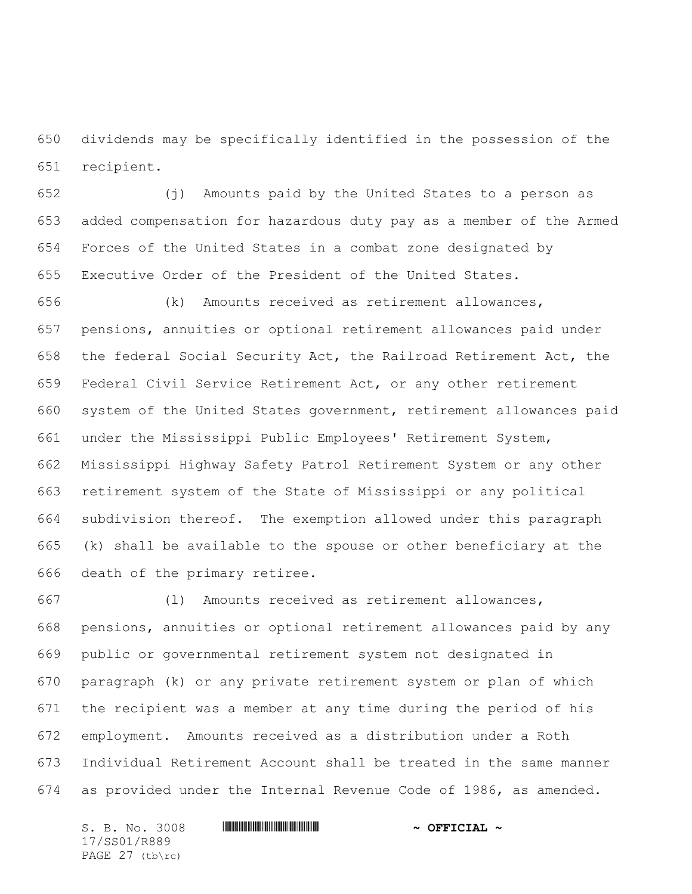dividends may be specifically identified in the possession of the recipient.

 (j) Amounts paid by the United States to a person as added compensation for hazardous duty pay as a member of the Armed Forces of the United States in a combat zone designated by Executive Order of the President of the United States.

 (k) Amounts received as retirement allowances, pensions, annuities or optional retirement allowances paid under the federal Social Security Act, the Railroad Retirement Act, the Federal Civil Service Retirement Act, or any other retirement system of the United States government, retirement allowances paid under the Mississippi Public Employees' Retirement System, Mississippi Highway Safety Patrol Retirement System or any other retirement system of the State of Mississippi or any political subdivision thereof. The exemption allowed under this paragraph (k) shall be available to the spouse or other beneficiary at the death of the primary retiree.

 (l) Amounts received as retirement allowances, pensions, annuities or optional retirement allowances paid by any public or governmental retirement system not designated in paragraph (k) or any private retirement system or plan of which the recipient was a member at any time during the period of his employment. Amounts received as a distribution under a Roth Individual Retirement Account shall be treated in the same manner as provided under the Internal Revenue Code of 1986, as amended.

S. B. No. 3008 **\*\*\* | ASSEMBLE ASSEMBLE ASSEMBLE ASSEMBLE ASSEMBLE ASSESSED.** 17/SS01/R889 PAGE 27 (tb\rc)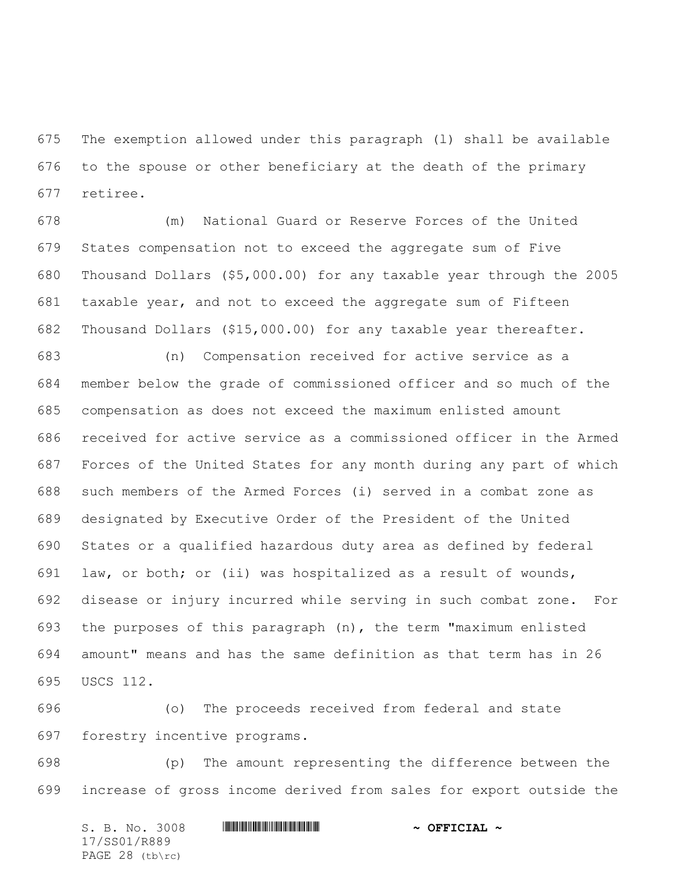The exemption allowed under this paragraph (l) shall be available to the spouse or other beneficiary at the death of the primary retiree.

 (m) National Guard or Reserve Forces of the United States compensation not to exceed the aggregate sum of Five Thousand Dollars (\$5,000.00) for any taxable year through the 2005 taxable year, and not to exceed the aggregate sum of Fifteen Thousand Dollars (\$15,000.00) for any taxable year thereafter.

 (n) Compensation received for active service as a member below the grade of commissioned officer and so much of the compensation as does not exceed the maximum enlisted amount received for active service as a commissioned officer in the Armed Forces of the United States for any month during any part of which such members of the Armed Forces (i) served in a combat zone as designated by Executive Order of the President of the United States or a qualified hazardous duty area as defined by federal law, or both; or (ii) was hospitalized as a result of wounds, disease or injury incurred while serving in such combat zone. For the purposes of this paragraph (n), the term "maximum enlisted amount" means and has the same definition as that term has in 26 USCS 112.

 (o) The proceeds received from federal and state forestry incentive programs.

 (p) The amount representing the difference between the increase of gross income derived from sales for export outside the

S. B. No. 3008 \*SS01/R889\* **~ OFFICIAL ~** 17/SS01/R889 PAGE 28 (tb\rc)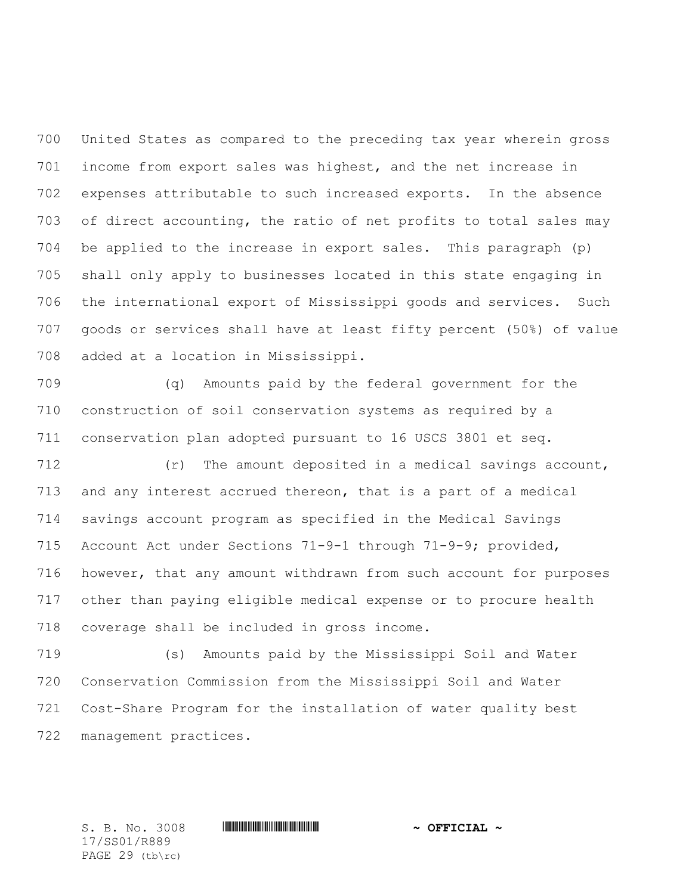United States as compared to the preceding tax year wherein gross income from export sales was highest, and the net increase in expenses attributable to such increased exports. In the absence of direct accounting, the ratio of net profits to total sales may be applied to the increase in export sales. This paragraph (p) shall only apply to businesses located in this state engaging in the international export of Mississippi goods and services. Such goods or services shall have at least fifty percent (50%) of value added at a location in Mississippi.

 (q) Amounts paid by the federal government for the construction of soil conservation systems as required by a conservation plan adopted pursuant to 16 USCS 3801 et seq.

 (r) The amount deposited in a medical savings account, and any interest accrued thereon, that is a part of a medical savings account program as specified in the Medical Savings Account Act under Sections 71-9-1 through 71-9-9; provided, however, that any amount withdrawn from such account for purposes other than paying eligible medical expense or to procure health coverage shall be included in gross income.

 (s) Amounts paid by the Mississippi Soil and Water Conservation Commission from the Mississippi Soil and Water Cost-Share Program for the installation of water quality best management practices.

17/SS01/R889 PAGE 29 (tb\rc)

S. B. No. 3008 **\*\*\* | ASSEMBLE ASSEMBLE ASSEMBLE ASSEMBLE ASSEMBLE ASSESSED.**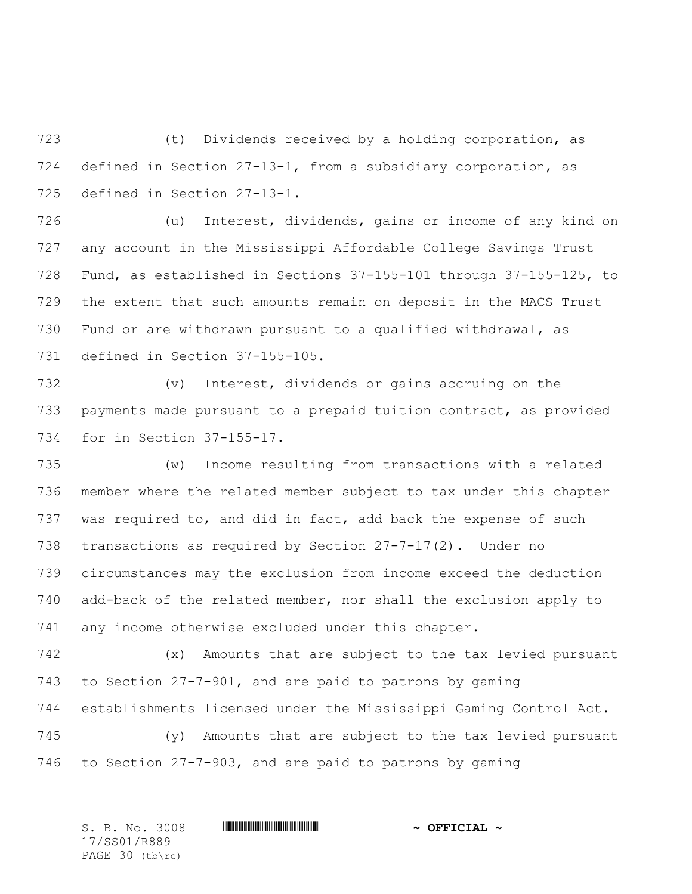(t) Dividends received by a holding corporation, as defined in Section 27-13-1, from a subsidiary corporation, as defined in Section 27-13-1.

 (u) Interest, dividends, gains or income of any kind on any account in the Mississippi Affordable College Savings Trust Fund, as established in Sections 37-155-101 through 37-155-125, to the extent that such amounts remain on deposit in the MACS Trust Fund or are withdrawn pursuant to a qualified withdrawal, as defined in Section 37-155-105.

 (v) Interest, dividends or gains accruing on the payments made pursuant to a prepaid tuition contract, as provided for in Section 37-155-17.

 (w) Income resulting from transactions with a related member where the related member subject to tax under this chapter was required to, and did in fact, add back the expense of such transactions as required by Section 27-7-17(2). Under no circumstances may the exclusion from income exceed the deduction add-back of the related member, nor shall the exclusion apply to any income otherwise excluded under this chapter.

 (x) Amounts that are subject to the tax levied pursuant to Section 27-7-901, and are paid to patrons by gaming establishments licensed under the Mississippi Gaming Control Act.

 (y) Amounts that are subject to the tax levied pursuant to Section 27-7-903, and are paid to patrons by gaming

S. B. No. 3008 \*SS01/R889\* **~ OFFICIAL ~** 17/SS01/R889 PAGE 30 (tb\rc)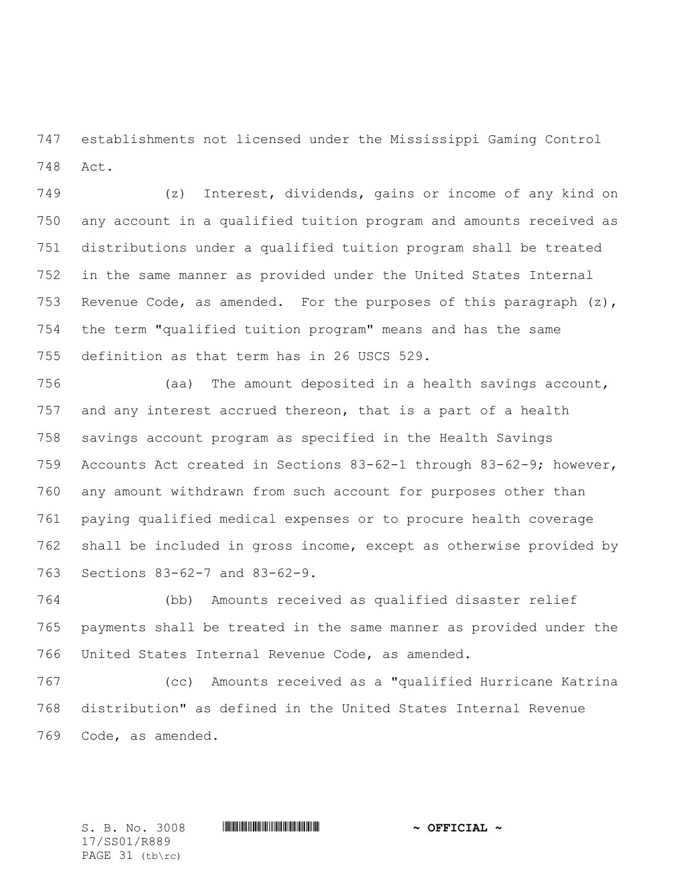establishments not licensed under the Mississippi Gaming Control Act.

 (z) Interest, dividends, gains or income of any kind on any account in a qualified tuition program and amounts received as distributions under a qualified tuition program shall be treated in the same manner as provided under the United States Internal 753 Revenue Code, as amended. For the purposes of this paragraph  $(z)$ , the term "qualified tuition program" means and has the same definition as that term has in 26 USCS 529.

 (aa) The amount deposited in a health savings account, and any interest accrued thereon, that is a part of a health savings account program as specified in the Health Savings Accounts Act created in Sections 83-62-1 through 83-62-9; however, any amount withdrawn from such account for purposes other than paying qualified medical expenses or to procure health coverage shall be included in gross income, except as otherwise provided by Sections 83-62-7 and 83-62-9.

 (bb) Amounts received as qualified disaster relief payments shall be treated in the same manner as provided under the United States Internal Revenue Code, as amended.

 (cc) Amounts received as a "qualified Hurricane Katrina distribution" as defined in the United States Internal Revenue Code, as amended.

17/SS01/R889 PAGE 31 (tb\rc)

S. B. No. 3008 **\*\*\* | ASSEMBLE ASSEMBLE ASSEMBLE ASSEMBLE ASSEMBLE ASSESSED.**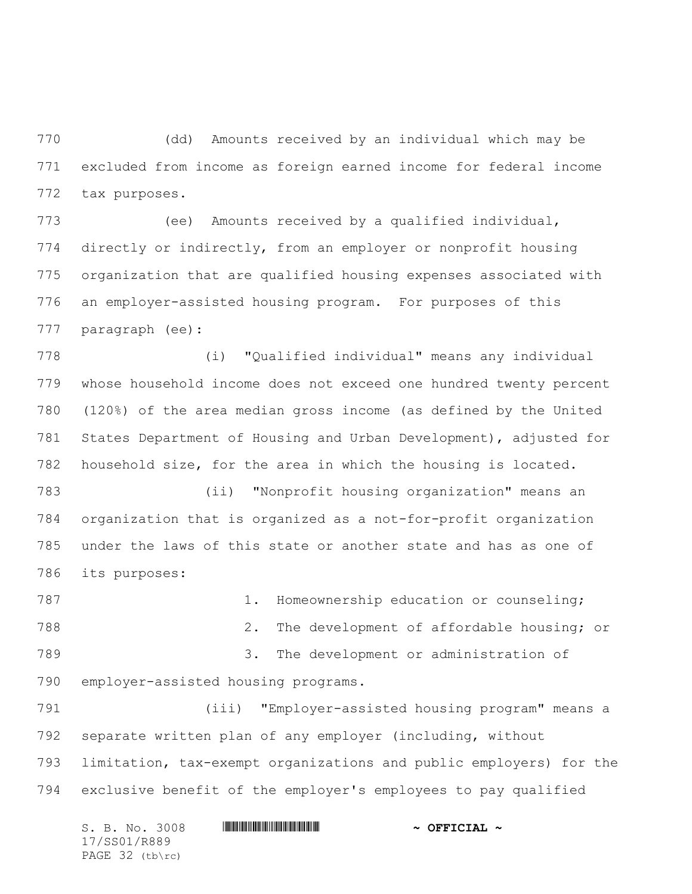(dd) Amounts received by an individual which may be excluded from income as foreign earned income for federal income tax purposes.

 (ee) Amounts received by a qualified individual, directly or indirectly, from an employer or nonprofit housing organization that are qualified housing expenses associated with an employer-assisted housing program. For purposes of this paragraph (ee):

 (i) "Qualified individual" means any individual whose household income does not exceed one hundred twenty percent (120%) of the area median gross income (as defined by the United States Department of Housing and Urban Development), adjusted for household size, for the area in which the housing is located.

 (ii) "Nonprofit housing organization" means an organization that is organized as a not-for-profit organization under the laws of this state or another state and has as one of its purposes:

787 1. Homeownership education or counseling; 2. The development of affordable housing; or 3. The development or administration of employer-assisted housing programs.

 (iii) "Employer-assisted housing program" means a separate written plan of any employer (including, without limitation, tax-exempt organizations and public employers) for the exclusive benefit of the employer's employees to pay qualified

S. B. No. 3008 \*SS01/R889\* **~ OFFICIAL ~** 17/SS01/R889 PAGE 32 (tb\rc)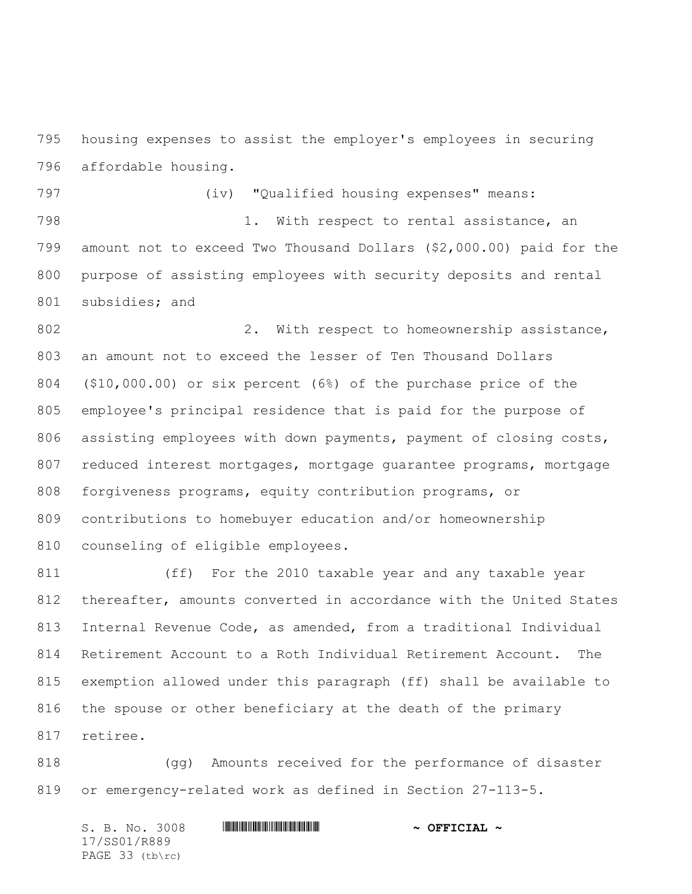housing expenses to assist the employer's employees in securing affordable housing.

 (iv) "Qualified housing expenses" means: 798 1. With respect to rental assistance, an amount not to exceed Two Thousand Dollars (\$2,000.00) paid for the purpose of assisting employees with security deposits and rental subsidies; and

802 2. With respect to homeownership assistance, an amount not to exceed the lesser of Ten Thousand Dollars (\$10,000.00) or six percent (6%) of the purchase price of the employee's principal residence that is paid for the purpose of 806 assisting employees with down payments, payment of closing costs, 807 reduced interest mortgages, mortgage guarantee programs, mortgage forgiveness programs, equity contribution programs, or contributions to homebuyer education and/or homeownership counseling of eligible employees.

 (ff) For the 2010 taxable year and any taxable year thereafter, amounts converted in accordance with the United States Internal Revenue Code, as amended, from a traditional Individual Retirement Account to a Roth Individual Retirement Account. The exemption allowed under this paragraph (ff) shall be available to the spouse or other beneficiary at the death of the primary retiree.

 (gg) Amounts received for the performance of disaster or emergency-related work as defined in Section 27-113-5.

S. B. No. 3008 **\*\*\* | ASSEMBLE ASSEMBLE ASSEMBLE ASSEMBLE ASSEMBLE ASSESSED.** 17/SS01/R889 PAGE 33 (tb\rc)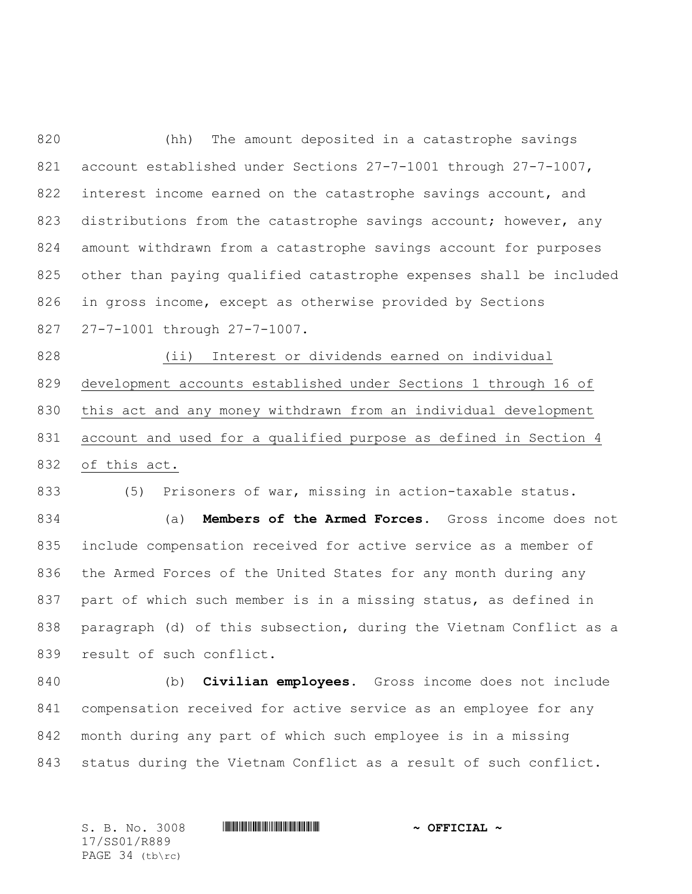(hh) The amount deposited in a catastrophe savings account established under Sections 27-7-1001 through 27-7-1007, 822 interest income earned on the catastrophe savings account, and 823 distributions from the catastrophe savings account; however, any amount withdrawn from a catastrophe savings account for purposes other than paying qualified catastrophe expenses shall be included in gross income, except as otherwise provided by Sections 27-7-1001 through 27-7-1007.

 (ii) Interest or dividends earned on individual development accounts established under Sections 1 through 16 of this act and any money withdrawn from an individual development account and used for a qualified purpose as defined in Section 4 of this act.

(5) Prisoners of war, missing in action-taxable status.

 (a) **Members of the Armed Forces.** Gross income does not include compensation received for active service as a member of the Armed Forces of the United States for any month during any part of which such member is in a missing status, as defined in paragraph (d) of this subsection, during the Vietnam Conflict as a result of such conflict.

 (b) **Civilian employees.** Gross income does not include compensation received for active service as an employee for any month during any part of which such employee is in a missing status during the Vietnam Conflict as a result of such conflict.

17/SS01/R889 PAGE 34 (tb\rc)

S. B. No. 3008 **\*\*\* | ASSEMBLE ASSEMBLE ASSEMBLE ASSEMBLE ASSEMBLE ASSESSED.**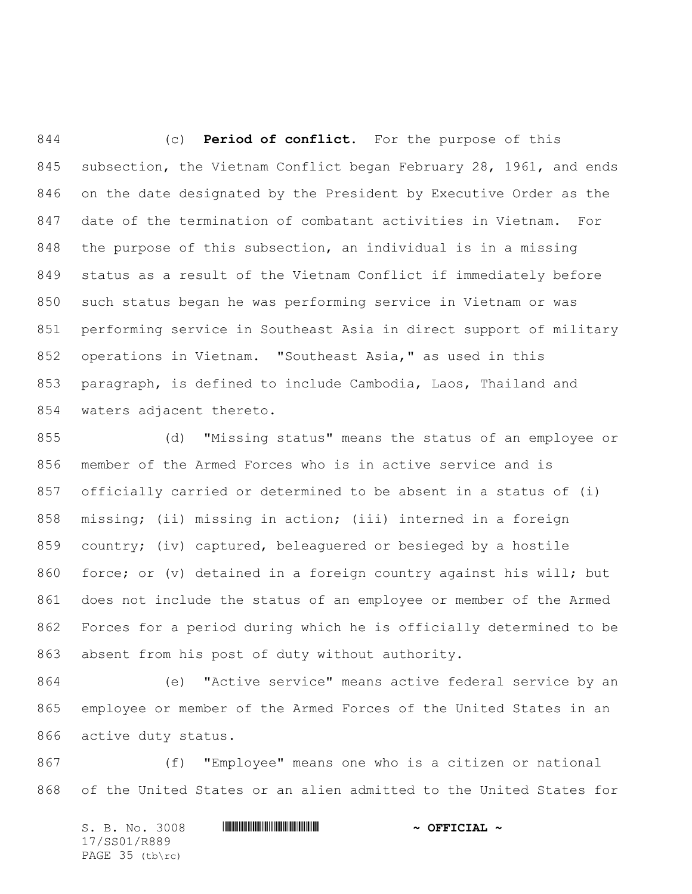(c) **Period of conflict.** For the purpose of this subsection, the Vietnam Conflict began February 28, 1961, and ends on the date designated by the President by Executive Order as the date of the termination of combatant activities in Vietnam. For the purpose of this subsection, an individual is in a missing status as a result of the Vietnam Conflict if immediately before such status began he was performing service in Vietnam or was performing service in Southeast Asia in direct support of military operations in Vietnam. "Southeast Asia," as used in this paragraph, is defined to include Cambodia, Laos, Thailand and waters adjacent thereto.

 (d) "Missing status" means the status of an employee or member of the Armed Forces who is in active service and is officially carried or determined to be absent in a status of (i) missing; (ii) missing in action; (iii) interned in a foreign country; (iv) captured, beleaguered or besieged by a hostile force; or (v) detained in a foreign country against his will; but does not include the status of an employee or member of the Armed Forces for a period during which he is officially determined to be absent from his post of duty without authority.

 (e) "Active service" means active federal service by an employee or member of the Armed Forces of the United States in an active duty status.

 (f) "Employee" means one who is a citizen or national of the United States or an alien admitted to the United States for

S. B. No. 3008 **\*\*\* ASSEMBLE ASSESSMENT ASSAULT ASSESSMENT ASSESSMENT ASSAULT ASSAULT ASSAULT ASSAULT ASSAULT** 17/SS01/R889 PAGE 35 (tb\rc)